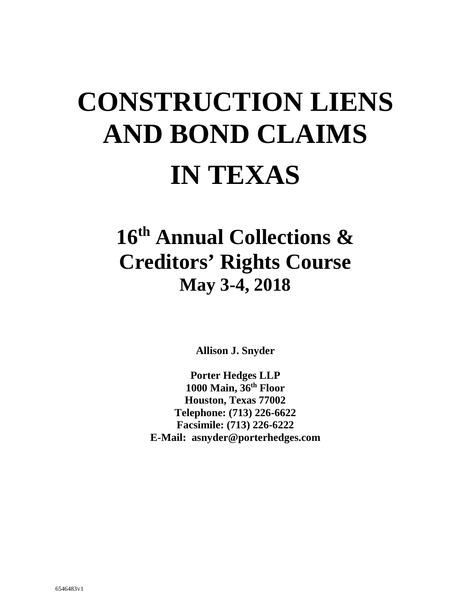# **CONSTRUCTION LIENS AND BOND CLAIMS IN TEXAS**

## **16th Annual Collections & Creditors' Rights Course May 3-4, 2018**

**Allison J. Snyder** 

**Porter Hedges LLP 1000 Main, 36th Floor Houston, Texas 77002 Telephone: (713) 226-6622 Facsimile: (713) 226-6222 E-Mail: asnyder@porterhedges.com**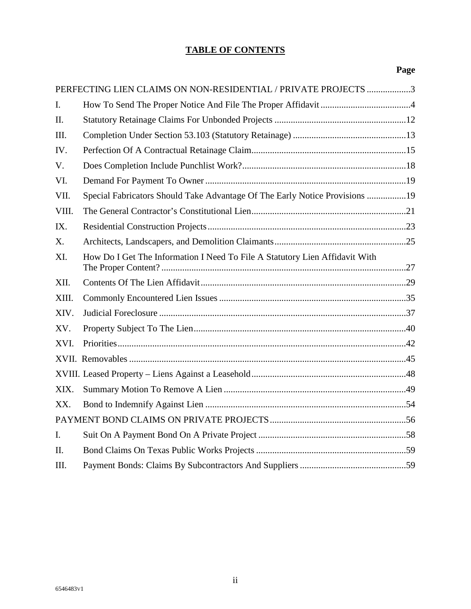#### **TABLE OF CONTENTS**

## **Page**

| PERFECTING LIEN CLAIMS ON NON-RESIDENTIAL / PRIVATE PROJECTS 3 |                                                                             |  |  |  |
|----------------------------------------------------------------|-----------------------------------------------------------------------------|--|--|--|
| $\mathbf{I}$ .                                                 |                                                                             |  |  |  |
| II.                                                            |                                                                             |  |  |  |
| III.                                                           |                                                                             |  |  |  |
| IV.                                                            |                                                                             |  |  |  |
| V.                                                             |                                                                             |  |  |  |
| VI.                                                            |                                                                             |  |  |  |
| VII.                                                           | Special Fabricators Should Take Advantage Of The Early Notice Provisions 19 |  |  |  |
| VIII.                                                          |                                                                             |  |  |  |
| IX.                                                            |                                                                             |  |  |  |
| X.                                                             |                                                                             |  |  |  |
| XI.                                                            | How Do I Get The Information I Need To File A Statutory Lien Affidavit With |  |  |  |
| XII.                                                           |                                                                             |  |  |  |
| XIII.                                                          |                                                                             |  |  |  |
| XIV.                                                           |                                                                             |  |  |  |
| XV.                                                            |                                                                             |  |  |  |
| XVI.                                                           |                                                                             |  |  |  |
|                                                                |                                                                             |  |  |  |
|                                                                |                                                                             |  |  |  |
| XIX.                                                           |                                                                             |  |  |  |
| XX.                                                            |                                                                             |  |  |  |
|                                                                |                                                                             |  |  |  |
| $\mathbf{I}$ .                                                 |                                                                             |  |  |  |
| $\Pi$ .                                                        |                                                                             |  |  |  |
| III.                                                           |                                                                             |  |  |  |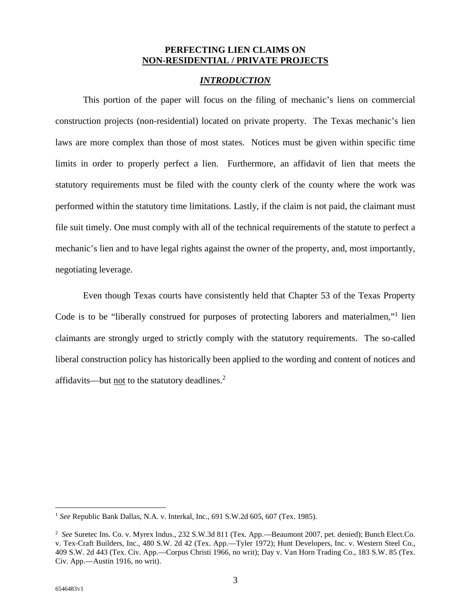#### **PERFECTING LIEN CLAIMS ON NON-RESIDENTIAL / PRIVATE PROJECTS**

#### *INTRODUCTION*

This portion of the paper will focus on the filing of mechanic's liens on commercial construction projects (non-residential) located on private property. The Texas mechanic's lien laws are more complex than those of most states. Notices must be given within specific time limits in order to properly perfect a lien. Furthermore, an affidavit of lien that meets the statutory requirements must be filed with the county clerk of the county where the work was performed within the statutory time limitations. Lastly, if the claim is not paid, the claimant must file suit timely. One must comply with all of the technical requirements of the statute to perfect a mechanic's lien and to have legal rights against the owner of the property, and, most importantly, negotiating leverage.

Even though Texas courts have consistently held that Chapter 53 of the Texas Property Code is to be "liberally construed for purposes of protecting laborers and materialmen,"<sup>1</sup> lien claimants are strongly urged to strictly comply with the statutory requirements. The so-called liberal construction policy has historically been applied to the wording and content of notices and affidavits—but <u>not</u> to the statutory deadlines.<sup>2</sup>

<sup>&</sup>lt;sup>1</sup> See Republic Bank Dallas, N.A. v. Interkal, Inc., 691 S.W.2d 605, 607 (Tex. 1985).

<sup>2</sup> *See* Suretec Ins. Co. v. Myrex Indus., 232 S.W.3d 811 (Tex. App.—Beaumont 2007, pet. denied); Bunch Elect.Co. v. Tex-Craft Builders, Inc., 480 S.W. 2d 42 (Tex. App.—Tyler 1972); Hunt Developers, Inc. v. Western Steel Co., 409 S.W. 2d 443 (Tex. Civ. App.—Corpus Christi 1966, no writ); Day v. Van Horn Trading Co., 183 S.W. 85 (Tex. Civ. App.—Austin 1916, no writ).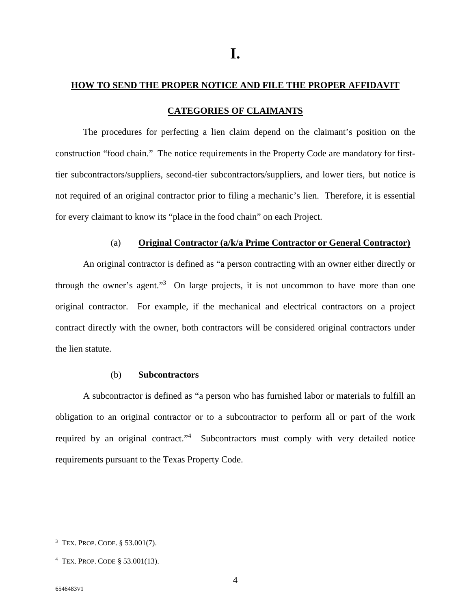#### **HOW TO SEND THE PROPER NOTICE AND FILE THE PROPER AFFIDAVIT**

#### **CATEGORIES OF CLAIMANTS**

The procedures for perfecting a lien claim depend on the claimant's position on the construction "food chain." The notice requirements in the Property Code are mandatory for firsttier subcontractors/suppliers, second-tier subcontractors/suppliers, and lower tiers, but notice is not required of an original contractor prior to filing a mechanic's lien. Therefore, it is essential for every claimant to know its "place in the food chain" on each Project.

#### (a) **Original Contractor (a/k/a Prime Contractor or General Contractor)**

An original contractor is defined as "a person contracting with an owner either directly or through the owner's agent."<sup>3</sup> On large projects, it is not uncommon to have more than one original contractor. For example, if the mechanical and electrical contractors on a project contract directly with the owner, both contractors will be considered original contractors under the lien statute.

#### (b) **Subcontractors**

A subcontractor is defined as "a person who has furnished labor or materials to fulfill an obligation to an original contractor or to a subcontractor to perform all or part of the work required by an original contract."<sup>4</sup> Subcontractors must comply with very detailed notice requirements pursuant to the Texas Property Code.

<sup>3</sup> TEX. PROP. CODE. § 53.001(7).

<sup>4</sup> TEX. PROP. CODE § 53.001(13).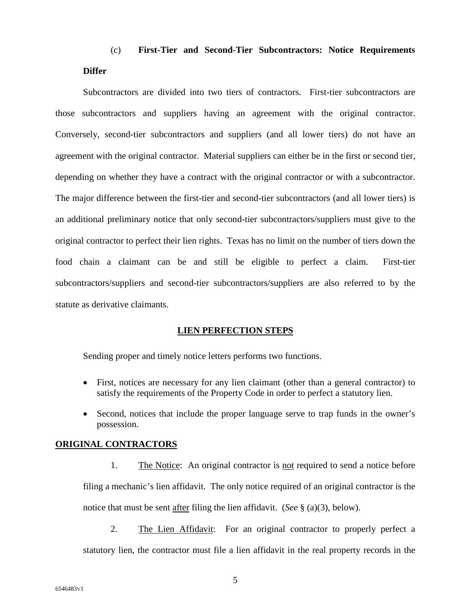## (c) **First-Tier and Second-Tier Subcontractors: Notice Requirements Differ**

Subcontractors are divided into two tiers of contractors. First-tier subcontractors are those subcontractors and suppliers having an agreement with the original contractor. Conversely, second-tier subcontractors and suppliers (and all lower tiers) do not have an agreement with the original contractor. Material suppliers can either be in the first or second tier, depending on whether they have a contract with the original contractor or with a subcontractor. The major difference between the first-tier and second-tier subcontractors (and all lower tiers) is an additional preliminary notice that only second-tier subcontractors/suppliers must give to the original contractor to perfect their lien rights. Texas has no limit on the number of tiers down the food chain a claimant can be and still be eligible to perfect a claim. First-tier subcontractors/suppliers and second-tier subcontractors/suppliers are also referred to by the statute as derivative claimants.

#### **LIEN PERFECTION STEPS**

Sending proper and timely notice letters performs two functions.

- First, notices are necessary for any lien claimant (other than a general contractor) to satisfy the requirements of the Property Code in order to perfect a statutory lien.
- Second, notices that include the proper language serve to trap funds in the owner's possession.

#### **ORIGINAL CONTRACTORS**

- 1. The Notice: An original contractor is <u>not</u> required to send a notice before filing a mechanic's lien affidavit. The only notice required of an original contractor is the notice that must be sent after filing the lien affidavit. (*See* § (a)(3), below).
- 2. The Lien Affidavit: For an original contractor to properly perfect a statutory lien, the contractor must file a lien affidavit in the real property records in the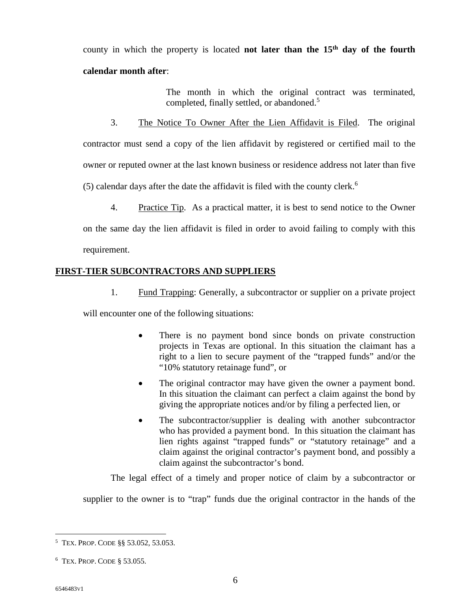county in which the property is located **not later than the 15th day of the fourth calendar month after**:

> The month in which the original contract was terminated, completed, finally settled, or abandoned.<sup>5</sup>

3. The Notice To Owner After the Lien Affidavit is Filed. The original

contractor must send a copy of the lien affidavit by registered or certified mail to the

owner or reputed owner at the last known business or residence address not later than five

(5) calendar days after the date the affidavit is filed with the county clerk.<sup>6</sup>

4. Practice Tip. As a practical matter, it is best to send notice to the Owner

on the same day the lien affidavit is filed in order to avoid failing to comply with this requirement.

#### **FIRST-TIER SUBCONTRACTORS AND SUPPLIERS**

1. Fund Trapping: Generally, a subcontractor or supplier on a private project

will encounter one of the following situations:

- There is no payment bond since bonds on private construction projects in Texas are optional. In this situation the claimant has a right to a lien to secure payment of the "trapped funds" and/or the "10% statutory retainage fund", or
- The original contractor may have given the owner a payment bond. In this situation the claimant can perfect a claim against the bond by giving the appropriate notices and/or by filing a perfected lien, or
- The subcontractor/supplier is dealing with another subcontractor who has provided a payment bond. In this situation the claimant has lien rights against "trapped funds" or "statutory retainage" and a claim against the original contractor's payment bond, and possibly a claim against the subcontractor's bond.

The legal effect of a timely and proper notice of claim by a subcontractor or

supplier to the owner is to "trap" funds due the original contractor in the hands of the

<sup>5</sup> TEX. PROP. CODE §§ 53.052, 53.053.

<sup>6</sup> TEX. PROP. CODE § 53.055.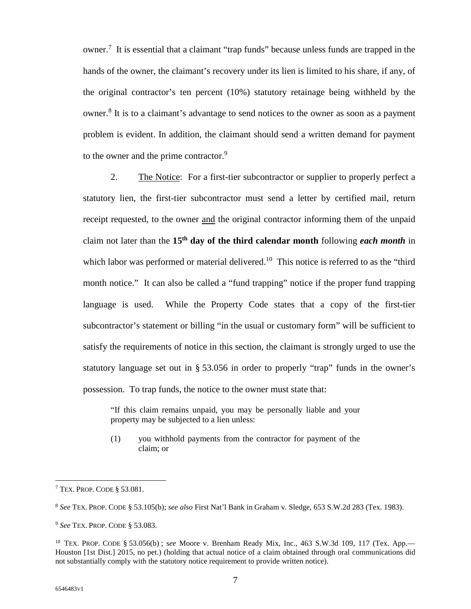owner.<sup>7</sup> It is essential that a claimant "trap funds" because unless funds are trapped in the hands of the owner, the claimant's recovery under its lien is limited to his share, if any, of the original contractor's ten percent (10%) statutory retainage being withheld by the owner.<sup>8</sup> It is to a claimant's advantage to send notices to the owner as soon as a payment problem is evident. In addition, the claimant should send a written demand for payment to the owner and the prime contractor.<sup>9</sup>

2. The Notice: For a first-tier subcontractor or supplier to properly perfect a statutory lien, the first-tier subcontractor must send a letter by certified mail, return receipt requested, to the owner and the original contractor informing them of the unpaid claim not later than the **15th day of the third calendar month** following *each month* in which labor was performed or material delivered.<sup>10</sup> This notice is referred to as the "third" month notice." It can also be called a "fund trapping" notice if the proper fund trapping language is used. While the Property Code states that a copy of the first-tier subcontractor's statement or billing "in the usual or customary form" will be sufficient to satisfy the requirements of notice in this section, the claimant is strongly urged to use the statutory language set out in § 53.056 in order to properly "trap" funds in the owner's possession. To trap funds, the notice to the owner must state that:

"If this claim remains unpaid, you may be personally liable and your property may be subjected to a lien unless:

(1) you withhold payments from the contractor for payment of the claim; or

<sup>7</sup> TEX. PROP. CODE § 53.081.

<sup>8</sup> *See* TEX. PROP. CODE § 53.105(b); *see also* First Nat'l Bank in Graham v. Sledge, 653 S.W.2d 283 (Tex. 1983).

<sup>9</sup> *See* TEX. PROP. CODE § 53.083.

<sup>10</sup> TEX. PROP. CODE § 53.056(b) ; s*ee* Moore v. Brenham Ready Mix, Inc., 463 S.W.3d 109, 117 (Tex. App.— Houston [1st Dist.] 2015, no pet.) (holding that actual notice of a claim obtained through oral communications did not substantially comply with the statutory notice requirement to provide written notice).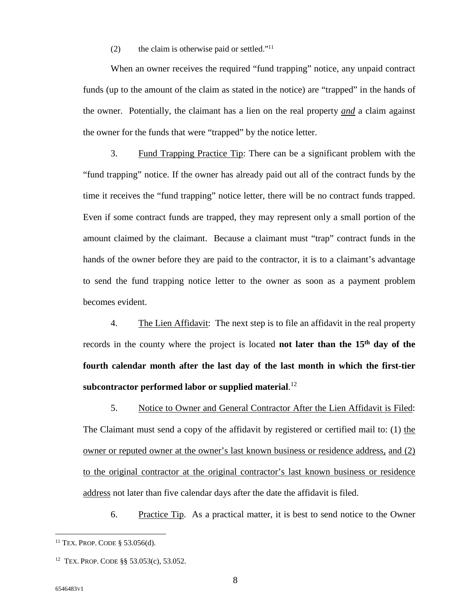(2) the claim is otherwise paid or settled." $11$ 

When an owner receives the required "fund trapping" notice, any unpaid contract funds (up to the amount of the claim as stated in the notice) are "trapped" in the hands of the owner. Potentially, the claimant has a lien on the real property *and* a claim against the owner for the funds that were "trapped" by the notice letter.

3. Fund Trapping Practice Tip: There can be a significant problem with the "fund trapping" notice. If the owner has already paid out all of the contract funds by the time it receives the "fund trapping" notice letter, there will be no contract funds trapped. Even if some contract funds are trapped, they may represent only a small portion of the amount claimed by the claimant. Because a claimant must "trap" contract funds in the hands of the owner before they are paid to the contractor, it is to a claimant's advantage to send the fund trapping notice letter to the owner as soon as a payment problem becomes evident.

4. The Lien Affidavit: The next step is to file an affidavit in the real property records in the county where the project is located **not later than the 15th day of the fourth calendar month after the last day of the last month in which the first-tier subcontractor performed labor or supplied material**. 12

5. Notice to Owner and General Contractor After the Lien Affidavit is Filed: The Claimant must send a copy of the affidavit by registered or certified mail to: (1) the owner or reputed owner at the owner's last known business or residence address, and (2) to the original contractor at the original contractor's last known business or residence address not later than five calendar days after the date the affidavit is filed.

6. Practice Tip. As a practical matter, it is best to send notice to the Owner

<sup>11</sup> TEX. PROP. CODE § 53.056(d).

<sup>12</sup> TEX. PROP. CODE §§ 53.053(c), 53.052.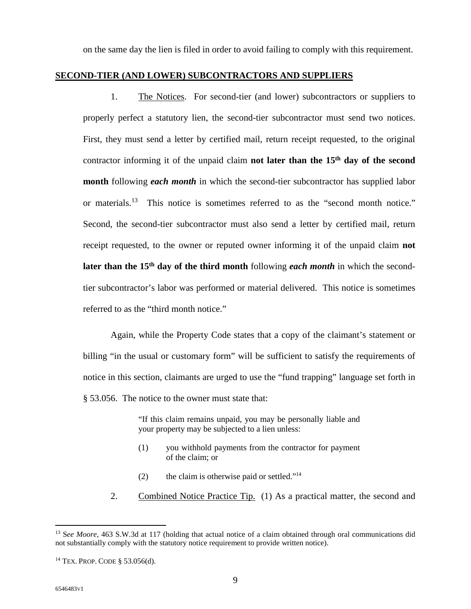on the same day the lien is filed in order to avoid failing to comply with this requirement.

#### **SECOND-TIER (AND LOWER) SUBCONTRACTORS AND SUPPLIERS**

1. The Notices. For second-tier (and lower) subcontractors or suppliers to properly perfect a statutory lien, the second-tier subcontractor must send two notices. First, they must send a letter by certified mail, return receipt requested, to the original contractor informing it of the unpaid claim **not later than the 15th day of the second month** following *each month* in which the second-tier subcontractor has supplied labor or materials.<sup>13</sup> This notice is sometimes referred to as the "second month notice." Second, the second-tier subcontractor must also send a letter by certified mail, return receipt requested, to the owner or reputed owner informing it of the unpaid claim **not later than the 15th day of the third month** following *each month* in which the secondtier subcontractor's labor was performed or material delivered. This notice is sometimes referred to as the "third month notice."

Again, while the Property Code states that a copy of the claimant's statement or billing "in the usual or customary form" will be sufficient to satisfy the requirements of notice in this section, claimants are urged to use the "fund trapping" language set forth in § 53.056. The notice to the owner must state that:

> "If this claim remains unpaid, you may be personally liable and your property may be subjected to a lien unless:

- (1) you withhold payments from the contractor for payment of the claim; or
- (2) the claim is otherwise paid or settled."<sup>14</sup>
- 2. Combined Notice Practice Tip. (1) As a practical matter, the second and

<sup>13</sup> S*ee Moore*, 463 S.W.3d at 117 (holding that actual notice of a claim obtained through oral communications did not substantially comply with the statutory notice requirement to provide written notice).

<sup>14</sup> TEX. PROP. CODE § 53.056(d).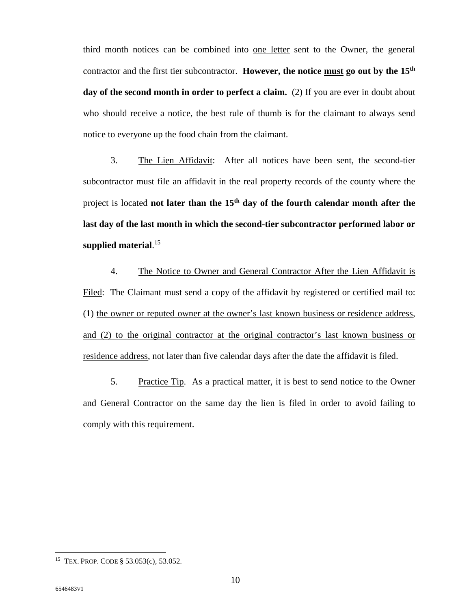third month notices can be combined into one letter sent to the Owner, the general contractor and the first tier subcontractor. **However, the notice must go out by the 15th day of the second month in order to perfect a claim.** (2) If you are ever in doubt about who should receive a notice, the best rule of thumb is for the claimant to always send notice to everyone up the food chain from the claimant.

3. The Lien Affidavit: After all notices have been sent, the second-tier subcontractor must file an affidavit in the real property records of the county where the project is located **not later than the 15th day of the fourth calendar month after the last day of the last month in which the second-tier subcontractor performed labor or supplied material**. 15

4. The Notice to Owner and General Contractor After the Lien Affidavit is Filed: The Claimant must send a copy of the affidavit by registered or certified mail to: (1) the owner or reputed owner at the owner's last known business or residence address, and (2) to the original contractor at the original contractor's last known business or residence address, not later than five calendar days after the date the affidavit is filed.

5. Practice Tip. As a practical matter, it is best to send notice to the Owner and General Contractor on the same day the lien is filed in order to avoid failing to comply with this requirement.

<sup>15</sup> TEX. PROP. CODE § 53.053(c), 53.052.

<sup>10</sup>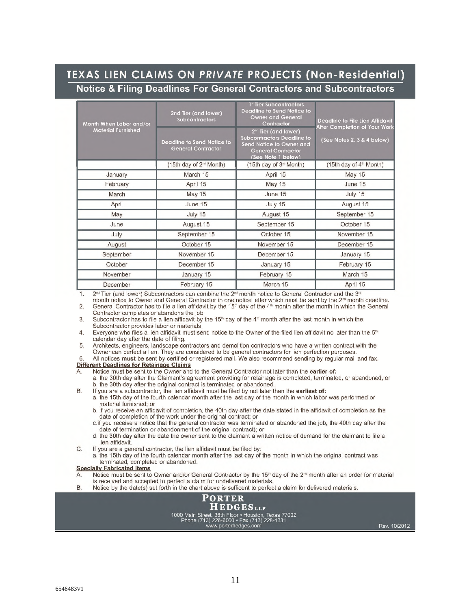## TEXAS LIEN CLAIMS ON PRIVATE PROJECTS (Non-Residential) Notice & Filing Deadlines For General Contractors and Subcontractors

| Month When Labor and/or<br><b>Material Furnished</b> | 2nd Tier (and lower)<br><b>Subcontractors</b><br><b>Deadline to Send Notice to</b><br><b>General Contractor</b> | 1 <sup>st</sup> Tier Subcontractors<br><b>Deadline to Send Notice to</b><br><b>Owner and General</b><br>Contractor<br>2 <sup>nd</sup> Tier (and lower)<br><b>Subcontractors Deadline to</b><br>Send Notice to Owner and<br><b>General Contractor</b><br>(See Note 1 below) | <b>Deadline to File Lien Affidavit</b><br>After Completion of Your Work<br>(See Notes 2, 3 & 4 below) |
|------------------------------------------------------|-----------------------------------------------------------------------------------------------------------------|----------------------------------------------------------------------------------------------------------------------------------------------------------------------------------------------------------------------------------------------------------------------------|-------------------------------------------------------------------------------------------------------|
|                                                      | (15th day of 2 <sup>nd</sup> Month)                                                                             | (15th day of 3 <sup>rd</sup> Month)                                                                                                                                                                                                                                        | (15th day of 4 <sup>th</sup> Month)                                                                   |
| January                                              | March 15                                                                                                        | April 15                                                                                                                                                                                                                                                                   | <b>May 15</b>                                                                                         |
| February                                             | April 15                                                                                                        | May 15                                                                                                                                                                                                                                                                     | June 15                                                                                               |
| March                                                | <b>May 15</b>                                                                                                   | June 15                                                                                                                                                                                                                                                                    | July 15                                                                                               |
| April                                                | June 15                                                                                                         | July 15                                                                                                                                                                                                                                                                    | August 15                                                                                             |
| May                                                  | July 15                                                                                                         | August 15                                                                                                                                                                                                                                                                  | September 15                                                                                          |
| June                                                 | August 15                                                                                                       | September 15                                                                                                                                                                                                                                                               | October 15                                                                                            |
| July                                                 | September 15                                                                                                    | October 15                                                                                                                                                                                                                                                                 | November 15                                                                                           |
| August                                               | October 15                                                                                                      | November 15                                                                                                                                                                                                                                                                | December 15                                                                                           |
| September                                            | November 15                                                                                                     | December 15                                                                                                                                                                                                                                                                | January 15                                                                                            |
| October                                              | December 15                                                                                                     | January 15                                                                                                                                                                                                                                                                 | February 15                                                                                           |
| November                                             | January 15                                                                                                      | February 15                                                                                                                                                                                                                                                                | March 15                                                                                              |
| December                                             | February 15                                                                                                     | March 15                                                                                                                                                                                                                                                                   | April 15                                                                                              |

2<sup>nd</sup> Tier (and lower) Subcontractors can combine the 2<sup>nd</sup> month notice to General Contractor and the 3<sup>nd</sup> 1.

month notice to Owner and General Contractor in one notice letter which must be sent by the 2<sup>nd</sup> month deadline. General Contractor has to file a lien affidavit by the 15<sup>th</sup> day of the 4<sup>th</sup> month after the month in which the General  $2.$ Contractor completes or abandons the job.

Subcontractor has to file a lien affidavit by the 15<sup>th</sup> day of the  $4<sup>th</sup>$  month after the last month in which the 3. Subcontractor provides labor or materials.

4. Everyone who files a lien affidavit must send notice to the Owner of the filed lien affidavit no later than the 5<sup>th</sup> calendar day after the date of filing.

5 Architects, engineers, landscape contractors and demolition contractors who have a written contract with the Owner can perfect a lien. They are considered to be general contractors for lien perfection purposes. All notices must be sent by certified or registered mail. We also recommend sending by regular mail and fax.  $6 \overline{6}$ 

#### Different Deadlines for Retainage Claims

Notice must be sent to the Owner and to the General Contractor not later than the earlier of:

a. the 30th day after the Claimant's agreement providing for retainage is completed, terminated, or abandoned; or b. the 30th day after the original contract is terminated or abandoned.

If you are a subcontractor, the lien affidavit must be filed by not later than the earliest of:

a. the 15th day of the fourth calendar month after the last day of the month in which labor was performed or material furnished; or

b. if you receive an affidavit of completion, the 40th day after the date stated in the affidavit of completion as the date of completion of the work under the original contract; or

c.if you receive a notice that the general contractor was terminated or abandoned the job, the 40th day after the date of termination or abandonment of the original contract); or

- d. the 30th day after the date the owner sent to the claimant a written notice of demand for the claimant to file a lien affidavit.
- If you are a general contractor, the lien affidavit must be filed by:  $\overline{C}$ .

a. the 15th day of the fourth calendar month after the last day of the month in which the original contract was terminated, completed or abandoned.

#### **Specially Fabricated Items**

Notice must be sent to Owner and/or General Contractor by the 15<sup>th</sup> day of the 2<sup>nd</sup> month after an order for material is received and accepted to perfect a claim for undelivered materials.

Notice by the date(s) set forth in the chart above is sufficent to perfect a claim for delivered materials. B.



 $B<sub>1</sub>$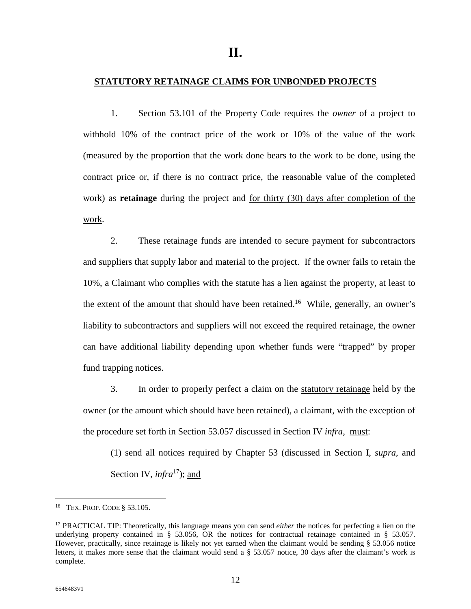#### **STATUTORY RETAINAGE CLAIMS FOR UNBONDED PROJECTS**

1. Section 53.101 of the Property Code requires the *owner* of a project to withhold 10% of the contract price of the work or 10% of the value of the work (measured by the proportion that the work done bears to the work to be done, using the contract price or, if there is no contract price, the reasonable value of the completed work) as **retainage** during the project and for thirty (30) days after completion of the work.

2. These retainage funds are intended to secure payment for subcontractors and suppliers that supply labor and material to the project. If the owner fails to retain the 10%, a Claimant who complies with the statute has a lien against the property, at least to the extent of the amount that should have been retained.<sup>16</sup> While, generally, an owner's liability to subcontractors and suppliers will not exceed the required retainage, the owner can have additional liability depending upon whether funds were "trapped" by proper fund trapping notices.

3. In order to properly perfect a claim on the statutory retainage held by the owner (or the amount which should have been retained), a claimant, with the exception of the procedure set forth in Section 53.057 discussed in Section IV *infra*, must:

(1) send all notices required by Chapter 53 (discussed in Section I, *supra*, and Section IV, *infra*<sup>17</sup>); and

<sup>16</sup> TEX. PROP. CODE § 53.105.

<sup>17</sup> PRACTICAL TIP: Theoretically, this language means you can send *either* the notices for perfecting a lien on the underlying property contained in § 53.056, OR the notices for contractual retainage contained in § 53.057. However, practically, since retainage is likely not yet earned when the claimant would be sending § 53.056 notice letters, it makes more sense that the claimant would send a § 53.057 notice, 30 days after the claimant's work is complete.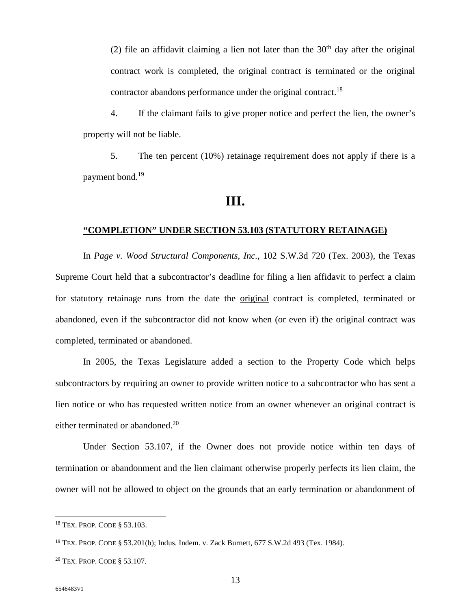(2) file an affidavit claiming a lien not later than the  $30<sup>th</sup>$  day after the original contract work is completed, the original contract is terminated or the original contractor abandons performance under the original contract.<sup>18</sup>

4. If the claimant fails to give proper notice and perfect the lien, the owner's property will not be liable.

5. The ten percent (10%) retainage requirement does not apply if there is a payment bond.<sup>19</sup>

## **III.**

#### **"COMPLETION" UNDER SECTION 53.103 (STATUTORY RETAINAGE)**

In *Page v. Wood Structural Components, Inc.*, 102 S.W.3d 720 (Tex. 2003), the Texas Supreme Court held that a subcontractor's deadline for filing a lien affidavit to perfect a claim for statutory retainage runs from the date the original contract is completed, terminated or abandoned, even if the subcontractor did not know when (or even if) the original contract was completed, terminated or abandoned.

In 2005, the Texas Legislature added a section to the Property Code which helps subcontractors by requiring an owner to provide written notice to a subcontractor who has sent a lien notice or who has requested written notice from an owner whenever an original contract is either terminated or abandoned.<sup>20</sup>

Under Section 53.107, if the Owner does not provide notice within ten days of termination or abandonment and the lien claimant otherwise properly perfects its lien claim, the owner will not be allowed to object on the grounds that an early termination or abandonment of

<sup>18</sup> TEX. PROP. CODE § 53.103.

<sup>19</sup> TEX. PROP. CODE § 53.201(b); Indus. Indem. v. Zack Burnett, 677 S.W.2d 493 (Tex. 1984).

<sup>20</sup> TEX. PROP. CODE § 53.107.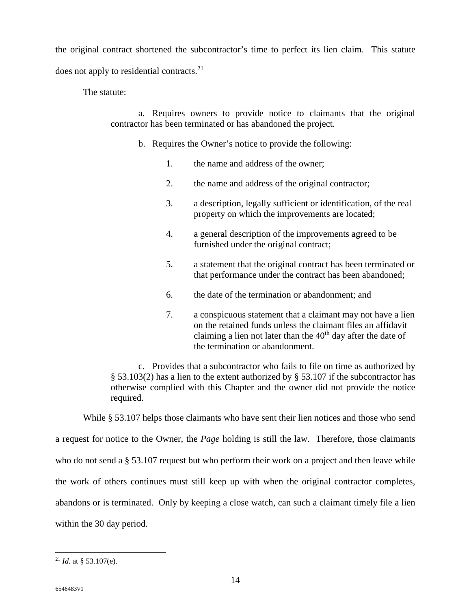the original contract shortened the subcontractor's time to perfect its lien claim. This statute

does not apply to residential contracts.<sup>21</sup>

The statute:

a. Requires owners to provide notice to claimants that the original contractor has been terminated or has abandoned the project.

- b. Requires the Owner's notice to provide the following:
	- 1. the name and address of the owner;
	- 2. the name and address of the original contractor;
	- 3. a description, legally sufficient or identification, of the real property on which the improvements are located;
	- 4. a general description of the improvements agreed to be furnished under the original contract;
	- 5. a statement that the original contract has been terminated or that performance under the contract has been abandoned;
	- 6. the date of the termination or abandonment; and
	- 7. a conspicuous statement that a claimant may not have a lien on the retained funds unless the claimant files an affidavit claiming a lien not later than the  $40<sup>th</sup>$  day after the date of the termination or abandonment.

c. Provides that a subcontractor who fails to file on time as authorized by § 53.103(2) has a lien to the extent authorized by § 53.107 if the subcontractor has otherwise complied with this Chapter and the owner did not provide the notice required.

While § 53.107 helps those claimants who have sent their lien notices and those who send a request for notice to the Owner, the *Page* holding is still the law. Therefore, those claimants who do not send a § 53.107 request but who perform their work on a project and then leave while the work of others continues must still keep up with when the original contractor completes, abandons or is terminated. Only by keeping a close watch, can such a claimant timely file a lien within the 30 day period.

<sup>&</sup>lt;sup>21</sup> *Id.* at  $\frac{853.107(e)}{e}$ .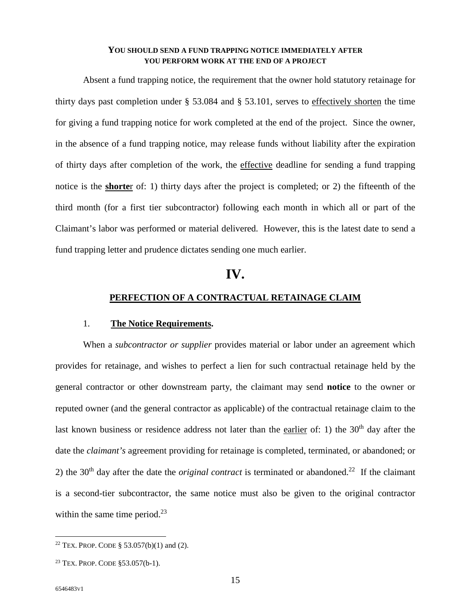#### **YOU SHOULD SEND A FUND TRAPPING NOTICE IMMEDIATELY AFTER YOU PERFORM WORK AT THE END OF A PROJECT**

Absent a fund trapping notice, the requirement that the owner hold statutory retainage for thirty days past completion under § 53.084 and § 53.101, serves to effectively shorten the time for giving a fund trapping notice for work completed at the end of the project. Since the owner, in the absence of a fund trapping notice, may release funds without liability after the expiration of thirty days after completion of the work, the effective deadline for sending a fund trapping notice is the **shorte**r of: 1) thirty days after the project is completed; or 2) the fifteenth of the third month (for a first tier subcontractor) following each month in which all or part of the Claimant's labor was performed or material delivered. However, this is the latest date to send a fund trapping letter and prudence dictates sending one much earlier.

## **IV.**

#### **PERFECTION OF A CONTRACTUAL RETAINAGE CLAIM**

#### 1. **The Notice Requirements.**

When a *subcontractor or supplier* provides material or labor under an agreement which provides for retainage, and wishes to perfect a lien for such contractual retainage held by the general contractor or other downstream party, the claimant may send **notice** to the owner or reputed owner (and the general contractor as applicable) of the contractual retainage claim to the last known business or residence address not later than the earlier of: 1) the  $30<sup>th</sup>$  day after the date the *claimant's* agreement providing for retainage is completed, terminated, or abandoned; or 2) the 30<sup>th</sup> day after the date the *original contract* is terminated or abandoned.<sup>22</sup> If the claimant is a second-tier subcontractor, the same notice must also be given to the original contractor within the same time period. $^{23}$ 

<sup>&</sup>lt;sup>22</sup> TEX. PROP. CODE § 53.057(b)(1) and (2).

<sup>23</sup> TEX. PROP. CODE §53.057(b-1).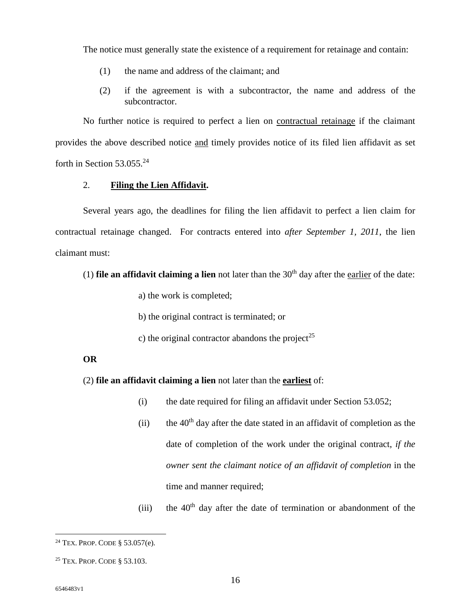The notice must generally state the existence of a requirement for retainage and contain:

- (1) the name and address of the claimant; and
- (2) if the agreement is with a subcontractor, the name and address of the subcontractor.

No further notice is required to perfect a lien on contractual retainage if the claimant provides the above described notice and timely provides notice of its filed lien affidavit as set forth in Section  $53.055.^{24}$ 

#### 2. **Filing the Lien Affidavit.**

Several years ago, the deadlines for filing the lien affidavit to perfect a lien claim for contractual retainage changed. For contracts entered into *after September 1, 2011*, the lien claimant must:

(1) **file an affidavit claiming a lien** not later than the  $30<sup>th</sup>$  day after the earlier of the date:

- a) the work is completed;
- b) the original contract is terminated; or
- c) the original contractor abandons the project<sup>25</sup>

#### **OR**

(2) **file an affidavit claiming a lien** not later than the **earliest** of:

- (i) the date required for filing an affidavit under Section 53.052;
- (ii) the  $40<sup>th</sup>$  day after the date stated in an affidavit of completion as the date of completion of the work under the original contract, *if the owner sent the claimant notice of an affidavit of completion* in the time and manner required;
- (iii) the  $40<sup>th</sup>$  day after the date of termination or abandonment of the

<sup>24</sup> TEX. PROP. CODE § 53.057(e).

<sup>25</sup> TEX. PROP. CODE § 53.103.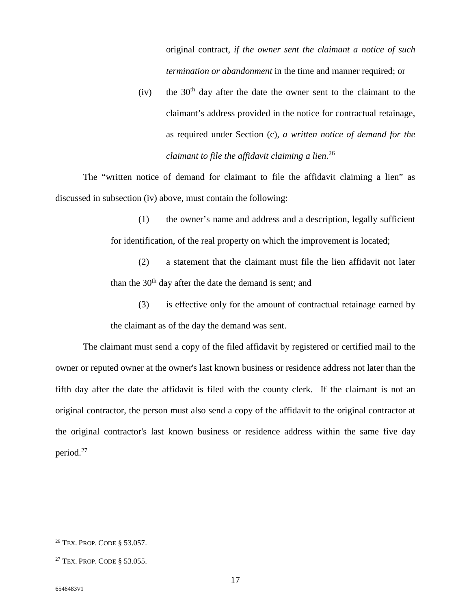original contract, *if the owner sent the claimant a notice of such termination or abandonment* in the time and manner required; or

(iv) the  $30<sup>th</sup>$  day after the date the owner sent to the claimant to the claimant's address provided in the notice for contractual retainage, as required under Section (c), *a written notice of demand for the claimant to file the affidavit claiming a lien*. 26

The "written notice of demand for claimant to file the affidavit claiming a lien" as discussed in subsection (iv) above, must contain the following:

> (1) the owner's name and address and a description, legally sufficient for identification, of the real property on which the improvement is located;

> (2) a statement that the claimant must file the lien affidavit not later than the  $30<sup>th</sup>$  day after the date the demand is sent; and

> (3) is effective only for the amount of contractual retainage earned by the claimant as of the day the demand was sent.

The claimant must send a copy of the filed affidavit by registered or certified mail to the owner or reputed owner at the owner's last known business or residence address not later than the fifth day after the date the affidavit is filed with the county clerk. If the claimant is not an original contractor, the person must also send a copy of the affidavit to the original contractor at the original contractor's last known business or residence address within the same five day period.<sup>27</sup>

<sup>26</sup> TEX. PROP. CODE § 53.057.

<sup>27</sup> TEX. PROP. CODE § 53.055.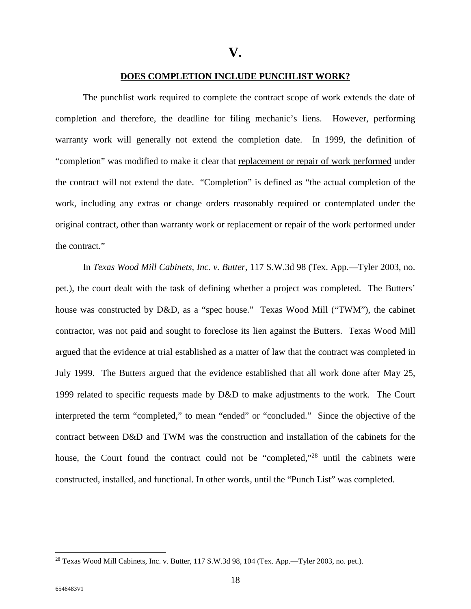#### **DOES COMPLETION INCLUDE PUNCHLIST WORK?**

The punchlist work required to complete the contract scope of work extends the date of completion and therefore, the deadline for filing mechanic's liens. However, performing warranty work will generally not extend the completion date. In 1999, the definition of "completion" was modified to make it clear that replacement or repair of work performed under the contract will not extend the date. "Completion" is defined as "the actual completion of the work, including any extras or change orders reasonably required or contemplated under the original contract, other than warranty work or replacement or repair of the work performed under the contract."

In *Texas Wood Mill Cabinets, Inc. v. Butter*, 117 S.W.3d 98 (Tex. App.—Tyler 2003, no. pet.), the court dealt with the task of defining whether a project was completed. The Butters' house was constructed by D&D, as a "spec house." Texas Wood Mill ("TWM"), the cabinet contractor, was not paid and sought to foreclose its lien against the Butters. Texas Wood Mill argued that the evidence at trial established as a matter of law that the contract was completed in July 1999. The Butters argued that the evidence established that all work done after May 25, 1999 related to specific requests made by D&D to make adjustments to the work. The Court interpreted the term "completed," to mean "ended" or "concluded." Since the objective of the contract between D&D and TWM was the construction and installation of the cabinets for the house, the Court found the contract could not be "completed,"<sup>28</sup> until the cabinets were constructed, installed, and functional. In other words, until the "Punch List" was completed.

<sup>28</sup> Texas Wood Mill Cabinets, Inc. v. Butter, 117 S.W.3d 98, 104 (Tex. App.—Tyler 2003, no. pet.).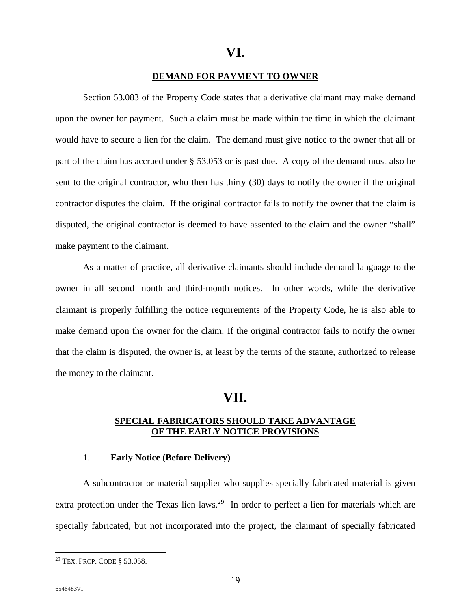## **VI.**

#### **DEMAND FOR PAYMENT TO OWNER**

Section 53.083 of the Property Code states that a derivative claimant may make demand upon the owner for payment. Such a claim must be made within the time in which the claimant would have to secure a lien for the claim. The demand must give notice to the owner that all or part of the claim has accrued under § 53.053 or is past due. A copy of the demand must also be sent to the original contractor, who then has thirty (30) days to notify the owner if the original contractor disputes the claim. If the original contractor fails to notify the owner that the claim is disputed, the original contractor is deemed to have assented to the claim and the owner "shall" make payment to the claimant.

As a matter of practice, all derivative claimants should include demand language to the owner in all second month and third-month notices. In other words, while the derivative claimant is properly fulfilling the notice requirements of the Property Code, he is also able to make demand upon the owner for the claim. If the original contractor fails to notify the owner that the claim is disputed, the owner is, at least by the terms of the statute, authorized to release the money to the claimant.

## **VII.**

#### **SPECIAL FABRICATORS SHOULD TAKE ADVANTAGE OF THE EARLY NOTICE PROVISIONS**

#### 1. **Early Notice (Before Delivery)**

A subcontractor or material supplier who supplies specially fabricated material is given extra protection under the Texas lien laws.<sup>29</sup> In order to perfect a lien for materials which are specially fabricated, but not incorporated into the project, the claimant of specially fabricated

<sup>29</sup> TEX. PROP. CODE § 53.058.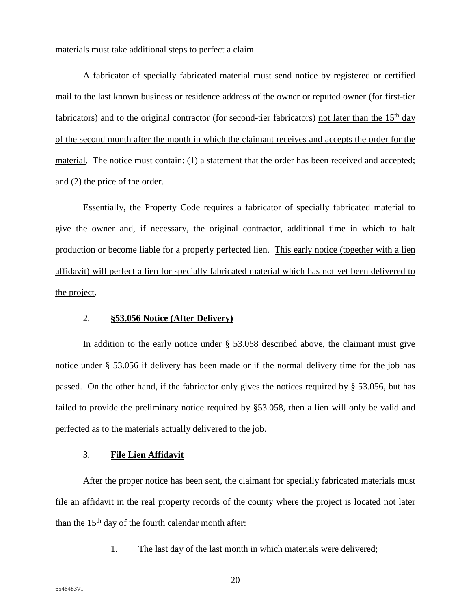materials must take additional steps to perfect a claim.

A fabricator of specially fabricated material must send notice by registered or certified mail to the last known business or residence address of the owner or reputed owner (for first-tier fabricators) and to the original contractor (for second-tier fabricators) not later than the  $15<sup>th</sup>$  day of the second month after the month in which the claimant receives and accepts the order for the material. The notice must contain: (1) a statement that the order has been received and accepted; and (2) the price of the order.

Essentially, the Property Code requires a fabricator of specially fabricated material to give the owner and, if necessary, the original contractor, additional time in which to halt production or become liable for a properly perfected lien. This early notice (together with a lien affidavit) will perfect a lien for specially fabricated material which has not yet been delivered to the project.

#### 2. **§53.056 Notice (After Delivery)**

In addition to the early notice under § 53.058 described above, the claimant must give notice under § 53.056 if delivery has been made or if the normal delivery time for the job has passed. On the other hand, if the fabricator only gives the notices required by § 53.056, but has failed to provide the preliminary notice required by §53.058, then a lien will only be valid and perfected as to the materials actually delivered to the job.

#### 3. **File Lien Affidavit**

After the proper notice has been sent, the claimant for specially fabricated materials must file an affidavit in the real property records of the county where the project is located not later than the  $15<sup>th</sup>$  day of the fourth calendar month after:

1. The last day of the last month in which materials were delivered;

20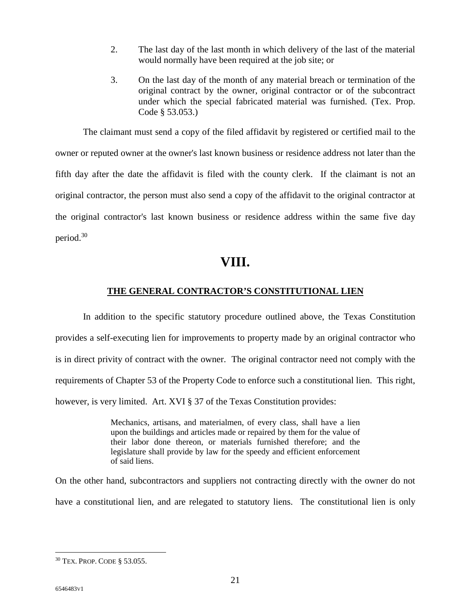- 2. The last day of the last month in which delivery of the last of the material would normally have been required at the job site; or
- 3. On the last day of the month of any material breach or termination of the original contract by the owner, original contractor or of the subcontract under which the special fabricated material was furnished. (Tex. Prop. Code § 53.053.)

The claimant must send a copy of the filed affidavit by registered or certified mail to the owner or reputed owner at the owner's last known business or residence address not later than the fifth day after the date the affidavit is filed with the county clerk. If the claimant is not an original contractor, the person must also send a copy of the affidavit to the original contractor at the original contractor's last known business or residence address within the same five day period.<sup>30</sup>

## **VIII.**

#### **THE GENERAL CONTRACTOR'S CONSTITUTIONAL LIEN**

In addition to the specific statutory procedure outlined above, the Texas Constitution provides a self-executing lien for improvements to property made by an original contractor who is in direct privity of contract with the owner. The original contractor need not comply with the requirements of Chapter 53 of the Property Code to enforce such a constitutional lien. This right, however, is very limited. Art. XVI § 37 of the Texas Constitution provides:

> Mechanics, artisans, and materialmen, of every class, shall have a lien upon the buildings and articles made or repaired by them for the value of their labor done thereon, or materials furnished therefore; and the legislature shall provide by law for the speedy and efficient enforcement of said liens.

On the other hand, subcontractors and suppliers not contracting directly with the owner do not have a constitutional lien, and are relegated to statutory liens. The constitutional lien is only

<sup>30</sup> TEX. PROP. CODE § 53.055.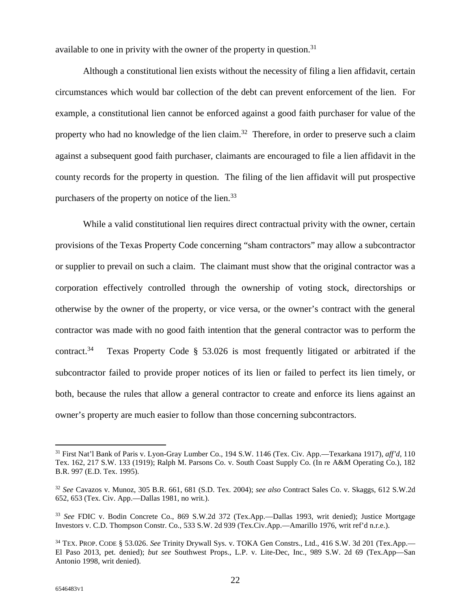available to one in privity with the owner of the property in question.<sup>31</sup>

Although a constitutional lien exists without the necessity of filing a lien affidavit, certain circumstances which would bar collection of the debt can prevent enforcement of the lien. For example, a constitutional lien cannot be enforced against a good faith purchaser for value of the property who had no knowledge of the lien claim.<sup>32</sup> Therefore, in order to preserve such a claim against a subsequent good faith purchaser, claimants are encouraged to file a lien affidavit in the county records for the property in question. The filing of the lien affidavit will put prospective purchasers of the property on notice of the lien.<sup>33</sup>

While a valid constitutional lien requires direct contractual privity with the owner, certain provisions of the Texas Property Code concerning "sham contractors" may allow a subcontractor or supplier to prevail on such a claim. The claimant must show that the original contractor was a corporation effectively controlled through the ownership of voting stock, directorships or otherwise by the owner of the property, or vice versa, or the owner's contract with the general contractor was made with no good faith intention that the general contractor was to perform the contract.<sup>34</sup> Texas Property Code  $\S$  53.026 is most frequently litigated or arbitrated if the subcontractor failed to provide proper notices of its lien or failed to perfect its lien timely, or both, because the rules that allow a general contractor to create and enforce its liens against an owner's property are much easier to follow than those concerning subcontractors.

<sup>31</sup> First Nat'l Bank of Paris v. Lyon-Gray Lumber Co., 194 S.W. 1146 (Tex. Civ. App.—Texarkana 1917), *aff'd*, 110 Tex. 162, 217 S.W. 133 (1919); Ralph M. Parsons Co. v. South Coast Supply Co. (In re A&M Operating Co.), 182 B.R. 997 (E.D. Tex. 1995).

<sup>32</sup> *See* Cavazos v. Munoz, 305 B.R. 661, 681 (S.D. Tex. 2004); *see also* Contract Sales Co. v. Skaggs, 612 S.W.2d 652, 653 (Tex. Civ. App.—Dallas 1981, no writ.).

<sup>33</sup> *See* FDIC v. Bodin Concrete Co., 869 S.W.2d 372 (Tex.App.—Dallas 1993, writ denied); Justice Mortgage Investors v. C.D. Thompson Constr. Co., 533 S.W. 2d 939 (Tex.Civ.App.—Amarillo 1976, writ ref'd n.r.e.).

<sup>34</sup> TEX. PROP. CODE § 53.026. *See* Trinity Drywall Sys. v. TOKA Gen Constrs., Ltd., 416 S.W. 3d 201 (Tex.App.— El Paso 2013, pet. denied); *but see* Southwest Props., L.P. v. Lite-Dec, Inc., 989 S.W. 2d 69 (Tex.App—San Antonio 1998, writ denied).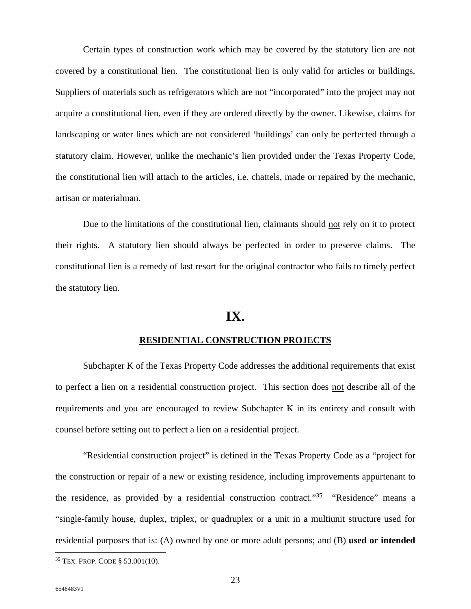Certain types of construction work which may be covered by the statutory lien are not covered by a constitutional lien. The constitutional lien is only valid for articles or buildings. Suppliers of materials such as refrigerators which are not "incorporated" into the project may not acquire a constitutional lien, even if they are ordered directly by the owner. Likewise, claims for landscaping or water lines which are not considered 'buildings' can only be perfected through a statutory claim. However, unlike the mechanic's lien provided under the Texas Property Code, the constitutional lien will attach to the articles, i.e. chattels, made or repaired by the mechanic, artisan or materialman.

Due to the limitations of the constitutional lien, claimants should not rely on it to protect their rights. A statutory lien should always be perfected in order to preserve claims. The constitutional lien is a remedy of last resort for the original contractor who fails to timely perfect the statutory lien.

## **IX.**

#### **RESIDENTIAL CONSTRUCTION PROJECTS**

Subchapter K of the Texas Property Code addresses the additional requirements that exist to perfect a lien on a residential construction project. This section does not describe all of the requirements and you are encouraged to review Subchapter K in its entirety and consult with counsel before setting out to perfect a lien on a residential project.

"Residential construction project" is defined in the Texas Property Code as a "project for the construction or repair of a new or existing residence, including improvements appurtenant to the residence, as provided by a residential construction contract."<sup>35</sup> "Residence" means a "single-family house, duplex, triplex, or quadruplex or a unit in a multiunit structure used for residential purposes that is: (A) owned by one or more adult persons; and (B) **used or intended** 

<sup>35</sup> TEX. PROP. CODE § 53.001(10).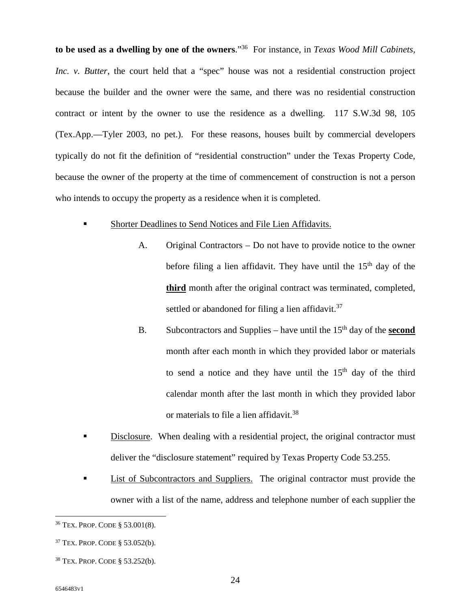**to be used as a dwelling by one of the owners**."<sup>36</sup> For instance, in *Texas Wood Mill Cabinets, Inc. v. Butter*, the court held that a "spec" house was not a residential construction project because the builder and the owner were the same, and there was no residential construction contract or intent by the owner to use the residence as a dwelling. 117 S.W.3d 98, 105 (Tex.App.—Tyler 2003, no pet.). For these reasons, houses built by commercial developers typically do not fit the definition of "residential construction" under the Texas Property Code, because the owner of the property at the time of commencement of construction is not a person who intends to occupy the property as a residence when it is completed.

- Shorter Deadlines to Send Notices and File Lien Affidavits.
	- A. Original Contractors Do not have to provide notice to the owner before filing a lien affidavit. They have until the  $15<sup>th</sup>$  day of the **third** month after the original contract was terminated, completed, settled or abandoned for filing a lien affidavit.<sup>37</sup>
	- B. Subcontractors and Supplies have until the  $15<sup>th</sup>$  day of the **second** month after each month in which they provided labor or materials to send a notice and they have until the  $15<sup>th</sup>$  day of the third calendar month after the last month in which they provided labor or materials to file a lien affidavit.<sup>38</sup>
- Disclosure. When dealing with a residential project, the original contractor must deliver the "disclosure statement" required by Texas Property Code 53.255.
- List of Subcontractors and Suppliers. The original contractor must provide the owner with a list of the name, address and telephone number of each supplier the

<sup>36</sup> TEX. PROP. CODE § 53.001(8).

<sup>37</sup> TEX. PROP. CODE § 53.052(b).

<sup>38</sup> TEX. PROP. CODE § 53.252(b).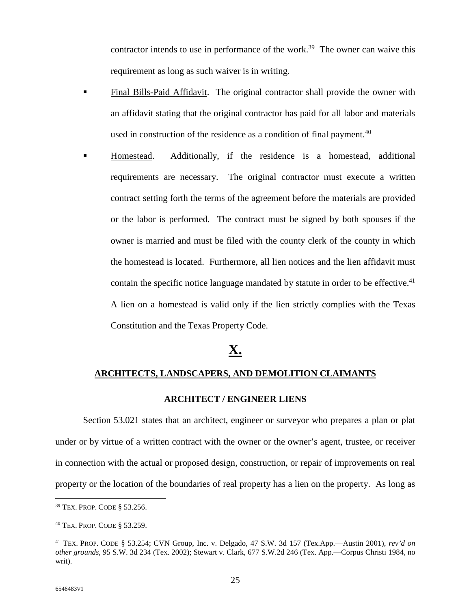contractor intends to use in performance of the work.<sup>39</sup> The owner can waive this requirement as long as such waiver is in writing.

- **Final Bills-Paid Affidavit.** The original contractor shall provide the owner with an affidavit stating that the original contractor has paid for all labor and materials used in construction of the residence as a condition of final payment.<sup>40</sup>
- Homestead. Additionally, if the residence is a homestead, additional requirements are necessary. The original contractor must execute a written contract setting forth the terms of the agreement before the materials are provided or the labor is performed. The contract must be signed by both spouses if the owner is married and must be filed with the county clerk of the county in which the homestead is located. Furthermore, all lien notices and the lien affidavit must contain the specific notice language mandated by statute in order to be effective.<sup>41</sup> A lien on a homestead is valid only if the lien strictly complies with the Texas Constitution and the Texas Property Code.

## **X.**

#### **ARCHITECTS, LANDSCAPERS, AND DEMOLITION CLAIMANTS**

#### **ARCHITECT / ENGINEER LIENS**

Section 53.021 states that an architect, engineer or surveyor who prepares a plan or plat under or by virtue of a written contract with the owner or the owner's agent, trustee, or receiver in connection with the actual or proposed design, construction, or repair of improvements on real property or the location of the boundaries of real property has a lien on the property. As long as

<sup>39</sup> TEX. PROP. CODE § 53.256.

<sup>40</sup> TEX. PROP. CODE § 53.259.

<sup>41</sup> TEX. PROP. CODE § 53.254; CVN Group, Inc. v. Delgado, 47 S.W. 3d 157 (Tex.App.—Austin 2001), *rev'd on other grounds*, 95 S.W. 3d 234 (Tex. 2002); Stewart v. Clark, 677 S.W.2d 246 (Tex. App.—Corpus Christi 1984, no writ).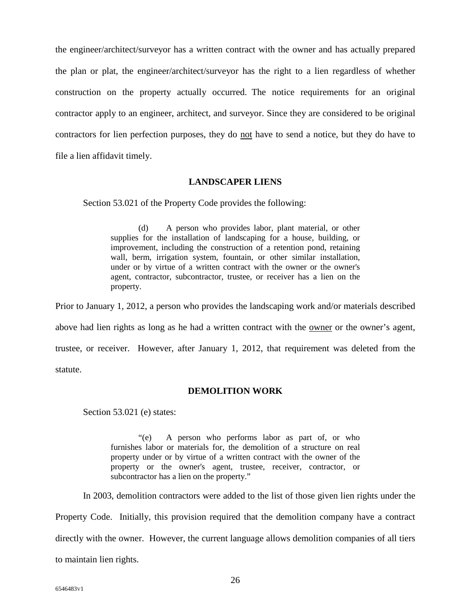the engineer/architect/surveyor has a written contract with the owner and has actually prepared the plan or plat, the engineer/architect/surveyor has the right to a lien regardless of whether construction on the property actually occurred. The notice requirements for an original contractor apply to an engineer, architect, and surveyor. Since they are considered to be original contractors for lien perfection purposes, they do not have to send a notice, but they do have to file a lien affidavit timely.

#### **LANDSCAPER LIENS**

Section 53.021 of the Property Code provides the following:

(d) A person who provides labor, plant material, or other supplies for the installation of landscaping for a house, building, or improvement, including the construction of a retention pond, retaining wall, berm, irrigation system, fountain, or other similar installation, under or by virtue of a written contract with the owner or the owner's agent, contractor, subcontractor, trustee, or receiver has a lien on the property.

Prior to January 1, 2012, a person who provides the landscaping work and/or materials described above had lien rights as long as he had a written contract with the <u>owner</u> or the owner's agent, trustee, or receiver. However, after January 1, 2012, that requirement was deleted from the statute.

#### **DEMOLITION WORK**

Section 53.021 (e) states:

"(e) A person who performs labor as part of, or who furnishes labor or materials for, the demolition of a structure on real property under or by virtue of a written contract with the owner of the property or the owner's agent, trustee, receiver, contractor, or subcontractor has a lien on the property."

In 2003, demolition contractors were added to the list of those given lien rights under the

Property Code. Initially, this provision required that the demolition company have a contract directly with the owner. However, the current language allows demolition companies of all tiers to maintain lien rights.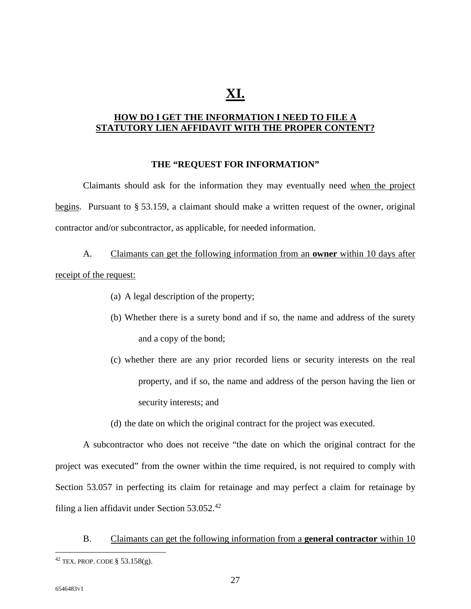## **XI.**

#### **HOW DO I GET THE INFORMATION I NEED TO FILE A STATUTORY LIEN AFFIDAVIT WITH THE PROPER CONTENT?**

#### **THE "REQUEST FOR INFORMATION"**

Claimants should ask for the information they may eventually need when the project begins. Pursuant to § 53.159, a claimant should make a written request of the owner, original contractor and/or subcontractor, as applicable, for needed information.

A. Claimants can get the following information from an **owner** within 10 days after receipt of the request:

- (a) A legal description of the property;
- (b) Whether there is a surety bond and if so, the name and address of the surety and a copy of the bond;
- (c) whether there are any prior recorded liens or security interests on the real property, and if so, the name and address of the person having the lien or security interests; and
- (d) the date on which the original contract for the project was executed.

A subcontractor who does not receive "the date on which the original contract for the project was executed" from the owner within the time required, is not required to comply with Section 53.057 in perfecting its claim for retainage and may perfect a claim for retainage by filing a lien affidavit under Section 53.052.<sup>42</sup>

B. Claimants can get the following information from a **general contractor** within 10

 $42$  TEX. PROP. CODE § 53.158(g).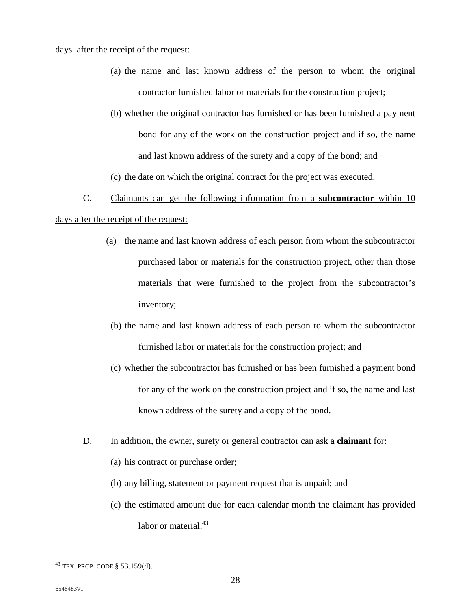#### days after the receipt of the request:

- (a) the name and last known address of the person to whom the original contractor furnished labor or materials for the construction project;
- (b) whether the original contractor has furnished or has been furnished a payment bond for any of the work on the construction project and if so, the name and last known address of the surety and a copy of the bond; and

(c) the date on which the original contract for the project was executed.

#### C. Claimants can get the following information from a **subcontractor** within 10

#### days after the receipt of the request:

- (a) the name and last known address of each person from whom the subcontractor purchased labor or materials for the construction project, other than those materials that were furnished to the project from the subcontractor's inventory;
	- (b) the name and last known address of each person to whom the subcontractor furnished labor or materials for the construction project; and
- (c) whether the subcontractor has furnished or has been furnished a payment bond for any of the work on the construction project and if so, the name and last known address of the surety and a copy of the bond.

#### D. In addition, the owner, surety or general contractor can ask a **claimant** for:

- (a) his contract or purchase order;
- (b) any billing, statement or payment request that is unpaid; and
- (c) the estimated amount due for each calendar month the claimant has provided labor or material.<sup>43</sup>

 $43$  TEX. PROP. CODE § 53.159(d).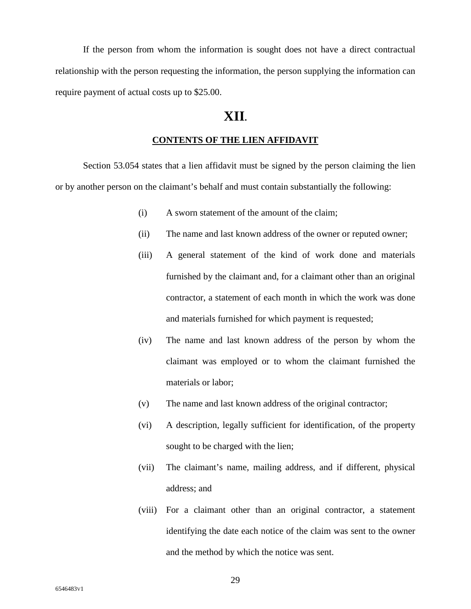If the person from whom the information is sought does not have a direct contractual relationship with the person requesting the information, the person supplying the information can require payment of actual costs up to \$25.00.

## **XII.**

#### **CONTENTS OF THE LIEN AFFIDAVIT**

Section 53.054 states that a lien affidavit must be signed by the person claiming the lien or by another person on the claimant's behalf and must contain substantially the following:

- (i) A sworn statement of the amount of the claim;
- (ii) The name and last known address of the owner or reputed owner;
- (iii) A general statement of the kind of work done and materials furnished by the claimant and, for a claimant other than an original contractor, a statement of each month in which the work was done and materials furnished for which payment is requested;
- (iv) The name and last known address of the person by whom the claimant was employed or to whom the claimant furnished the materials or labor;
- (v) The name and last known address of the original contractor;
- (vi) A description, legally sufficient for identification, of the property sought to be charged with the lien;
- (vii) The claimant's name, mailing address, and if different, physical address; and
- (viii) For a claimant other than an original contractor, a statement identifying the date each notice of the claim was sent to the owner and the method by which the notice was sent.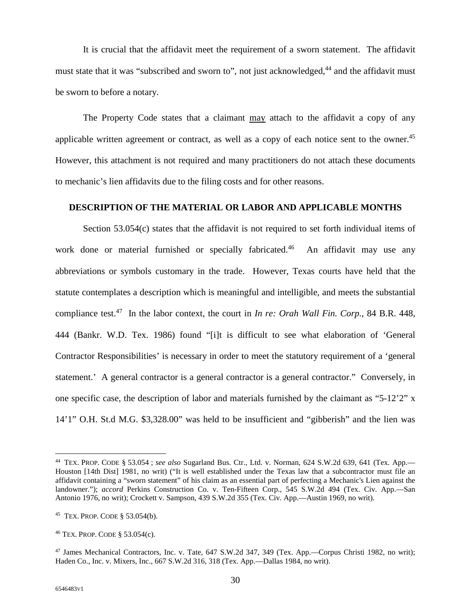It is crucial that the affidavit meet the requirement of a sworn statement. The affidavit must state that it was "subscribed and sworn to", not just acknowledged,<sup>44</sup> and the affidavit must be sworn to before a notary.

The Property Code states that a claimant may attach to the affidavit a copy of any applicable written agreement or contract, as well as a copy of each notice sent to the owner.<sup>45</sup> However, this attachment is not required and many practitioners do not attach these documents to mechanic's lien affidavits due to the filing costs and for other reasons.

#### **DESCRIPTION OF THE MATERIAL OR LABOR AND APPLICABLE MONTHS**

Section 53.054(c) states that the affidavit is not required to set forth individual items of work done or material furnished or specially fabricated.<sup>46</sup> An affidavit may use any abbreviations or symbols customary in the trade. However, Texas courts have held that the statute contemplates a description which is meaningful and intelligible, and meets the substantial compliance test.<sup>47</sup> In the labor context, the court in *In re: Orah Wall Fin. Corp.*, 84 B.R. 448, 444 (Bankr. W.D. Tex. 1986) found "[i]t is difficult to see what elaboration of 'General Contractor Responsibilities' is necessary in order to meet the statutory requirement of a 'general statement.' A general contractor is a general contractor is a general contractor." Conversely, in one specific case, the description of labor and materials furnished by the claimant as "5-12'2" x 14'1" O.H. St.d M.G. \$3,328.00" was held to be insufficient and "gibberish" and the lien was

<sup>44</sup> TEX. PROP. CODE § 53.054 ; *see also* Sugarland Bus. Ctr., Ltd. v. Norman, 624 S.W.2d 639, 641 (Tex. App.— Houston [14th Dist] 1981, no writ) ("It is well established under the Texas law that a subcontractor must file an affidavit containing a "sworn statement" of his claim as an essential part of perfecting a Mechanic's Lien against the landowner."); *accord* Perkins Construction Co. v. Ten-Fifteen Corp., 545 S.W.2d 494 (Tex. Civ. App.—San Antonio 1976, no writ); Crockett v. Sampson, 439 S.W.2d 355 (Tex. Civ. App.—Austin 1969, no writ).

<sup>45</sup> TEX. PROP. CODE § 53.054(b).

<sup>46</sup> TEX. PROP. CODE § 53.054(c).

<sup>47</sup> James Mechanical Contractors, Inc. v. Tate*,* 647 S.W.2d 347, 349 (Tex. App.—Corpus Christi 1982, no writ); Haden Co., Inc. v. Mixers, Inc., 667 S.W.2d 316, 318 (Tex. App.—Dallas 1984, no writ).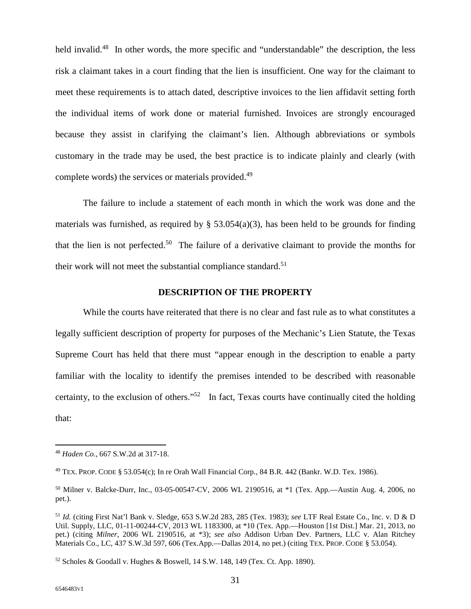held invalid.<sup>48</sup> In other words, the more specific and "understandable" the description, the less risk a claimant takes in a court finding that the lien is insufficient. One way for the claimant to meet these requirements is to attach dated, descriptive invoices to the lien affidavit setting forth the individual items of work done or material furnished. Invoices are strongly encouraged because they assist in clarifying the claimant's lien. Although abbreviations or symbols customary in the trade may be used, the best practice is to indicate plainly and clearly (with complete words) the services or materials provided.<sup>49</sup>

The failure to include a statement of each month in which the work was done and the materials was furnished, as required by  $\S$  53.054(a)(3), has been held to be grounds for finding that the lien is not perfected.<sup>50</sup> The failure of a derivative claimant to provide the months for their work will not meet the substantial compliance standard.<sup>51</sup>

#### **DESCRIPTION OF THE PROPERTY**

While the courts have reiterated that there is no clear and fast rule as to what constitutes a legally sufficient description of property for purposes of the Mechanic's Lien Statute, the Texas Supreme Court has held that there must "appear enough in the description to enable a party familiar with the locality to identify the premises intended to be described with reasonable certainty, to the exclusion of others."<sup>52</sup> In fact, Texas courts have continually cited the holding that:

<sup>48</sup> *Haden Co.*, 667 S.W.2d at 317-18.

<sup>49</sup> TEX. PROP. CODE § 53.054(c); In re Orah Wall Financial Corp.*,* 84 B.R. 442 (Bankr. W.D. Tex. 1986).

<sup>50</sup> Milner v. Balcke-Durr, Inc., 03-05-00547-CV, 2006 WL 2190516, at \*1 (Tex. App.—Austin Aug. 4, 2006, no pet.).

<sup>51</sup> *Id.* (citing First Nat'l Bank v. Sledge, 653 S.W.2d 283, 285 (Tex. 1983); *see* LTF Real Estate Co., Inc. v. D & D Util. Supply, LLC, 01-11-00244-CV, 2013 WL 1183300, at \*10 (Tex. App.—Houston [1st Dist.] Mar. 21, 2013, no pet.) (citing *Milner*, 2006 WL 2190516, at \*3); *see also* Addison Urban Dev. Partners, LLC v. Alan Ritchey Materials Co., LC*,* 437 S.W.3d 597, 606 (Tex.App.—Dallas 2014, no pet.) (citing TEX. PROP. CODE § 53.054).

 $52$  Scholes & Goodall v. Hughes & Boswell, 14 S.W. 148, 149 (Tex. Ct. App. 1890).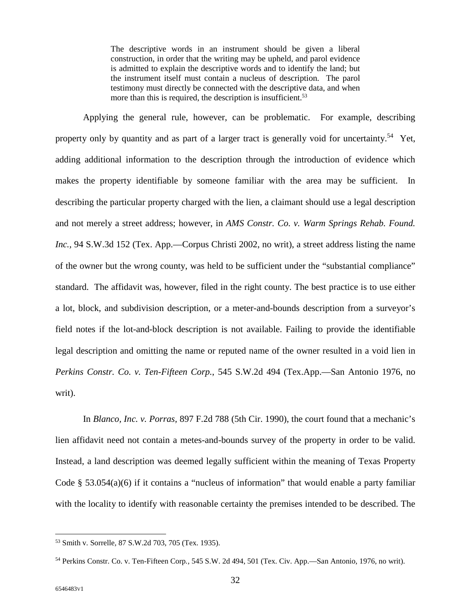The descriptive words in an instrument should be given a liberal construction, in order that the writing may be upheld, and parol evidence is admitted to explain the descriptive words and to identify the land; but the instrument itself must contain a nucleus of description. The parol testimony must directly be connected with the descriptive data, and when more than this is required, the description is insufficient.<sup>53</sup>

Applying the general rule, however, can be problematic. For example, describing property only by quantity and as part of a larger tract is generally void for uncertainty.<sup>54</sup> Yet, adding additional information to the description through the introduction of evidence which makes the property identifiable by someone familiar with the area may be sufficient. In describing the particular property charged with the lien, a claimant should use a legal description and not merely a street address; however, in *AMS Constr. Co. v. Warm Springs Rehab. Found. Inc.,* 94 S.W.3d 152 (Tex. App.—Corpus Christi 2002, no writ), a street address listing the name of the owner but the wrong county, was held to be sufficient under the "substantial compliance" standard. The affidavit was, however, filed in the right county. The best practice is to use either a lot, block, and subdivision description, or a meter-and-bounds description from a surveyor's field notes if the lot-and-block description is not available. Failing to provide the identifiable legal description and omitting the name or reputed name of the owner resulted in a void lien in *Perkins Constr. Co. v. Ten-Fifteen Corp.*, 545 S.W.2d 494 (Tex.App.—San Antonio 1976, no writ).

In *Blanco, Inc. v. Porras,* 897 F.2d 788 (5th Cir. 1990), the court found that a mechanic's lien affidavit need not contain a metes-and-bounds survey of the property in order to be valid. Instead, a land description was deemed legally sufficient within the meaning of Texas Property Code § 53.054(a)(6) if it contains a "nucleus of information" that would enable a party familiar with the locality to identify with reasonable certainty the premises intended to be described. The

<sup>53</sup> Smith v. Sorrelle*,* 87 S.W.2d 703, 705 (Tex. 1935).

<sup>54</sup> Perkins Constr. Co. v. Ten-Fifteen Corp*.,* 545 S.W. 2d 494, 501 (Tex. Civ. App.—San Antonio, 1976, no writ).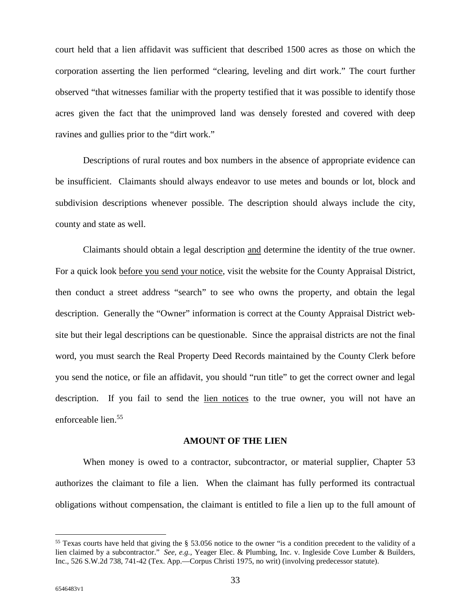court held that a lien affidavit was sufficient that described 1500 acres as those on which the corporation asserting the lien performed "clearing, leveling and dirt work." The court further observed "that witnesses familiar with the property testified that it was possible to identify those acres given the fact that the unimproved land was densely forested and covered with deep ravines and gullies prior to the "dirt work."

Descriptions of rural routes and box numbers in the absence of appropriate evidence can be insufficient. Claimants should always endeavor to use metes and bounds or lot, block and subdivision descriptions whenever possible. The description should always include the city, county and state as well.

Claimants should obtain a legal description and determine the identity of the true owner. For a quick look before you send your notice, visit the website for the County Appraisal District, then conduct a street address "search" to see who owns the property, and obtain the legal description. Generally the "Owner" information is correct at the County Appraisal District website but their legal descriptions can be questionable. Since the appraisal districts are not the final word, you must search the Real Property Deed Records maintained by the County Clerk before you send the notice, or file an affidavit, you should "run title" to get the correct owner and legal description. If you fail to send the lien notices to the true owner, you will not have an enforceable lien.<sup>55</sup>

#### **AMOUNT OF THE LIEN**

When money is owed to a contractor, subcontractor, or material supplier, Chapter 53 authorizes the claimant to file a lien. When the claimant has fully performed its contractual obligations without compensation, the claimant is entitled to file a lien up to the full amount of

<sup>55</sup> Texas courts have held that giving the § 53.056 notice to the owner "is a condition precedent to the validity of a lien claimed by a subcontractor." *See, e.g.,* Yeager Elec. & Plumbing, Inc. v. Ingleside Cove Lumber & Builders, Inc., 526 S.W.2d 738, 741-42 (Tex. App.—Corpus Christi 1975, no writ) (involving predecessor statute).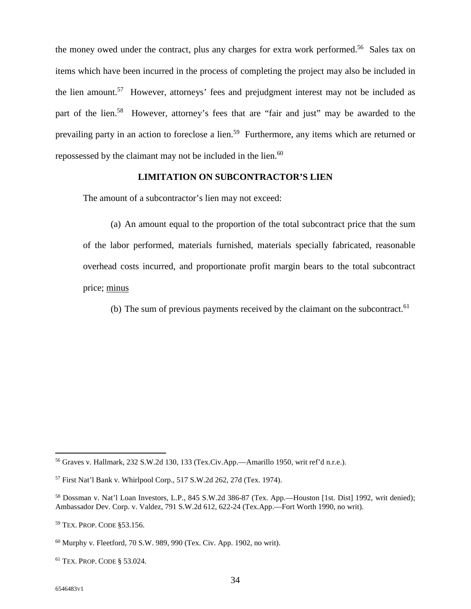the money owed under the contract, plus any charges for extra work performed.<sup>56</sup> Sales tax on items which have been incurred in the process of completing the project may also be included in the lien amount.<sup>57</sup> However, attorneys' fees and prejudgment interest may not be included as part of the lien.<sup>58</sup> However, attorney's fees that are "fair and just" may be awarded to the prevailing party in an action to foreclose a lien.<sup>59</sup> Furthermore, any items which are returned or repossessed by the claimant may not be included in the lien.<sup>60</sup>

#### **LIMITATION ON SUBCONTRACTOR'S LIEN**

The amount of a subcontractor's lien may not exceed:

(a) An amount equal to the proportion of the total subcontract price that the sum of the labor performed, materials furnished, materials specially fabricated, reasonable overhead costs incurred, and proportionate profit margin bears to the total subcontract price; minus

(b) The sum of previous payments received by the claimant on the subcontract.<sup>61</sup>

<sup>56</sup> Graves v. Hallmark, 232 S.W.2d 130, 133 (Tex.Civ.App.—Amarillo 1950, writ ref'd n.r.e.).

<sup>57</sup> First Nat'l Bank v. Whirlpool Corp., 517 S.W.2d 262, 27d (Tex. 1974).

<sup>58</sup> Dossman v. Nat'l Loan Investors, L.P., 845 S.W.2d 386-87 (Tex. App.—Houston [1st. Dist] 1992, writ denied); Ambassador Dev. Corp. v. Valdez, 791 S.W.2d 612, 622-24 (Tex.App.—Fort Worth 1990, no writ).

<sup>59</sup> TEX. PROP. CODE §53.156.

 $60$  Murphy v. Fleetford, 70 S.W. 989, 990 (Tex. Civ. App. 1902, no writ).

<sup>61</sup> TEX. PROP. CODE § 53.024.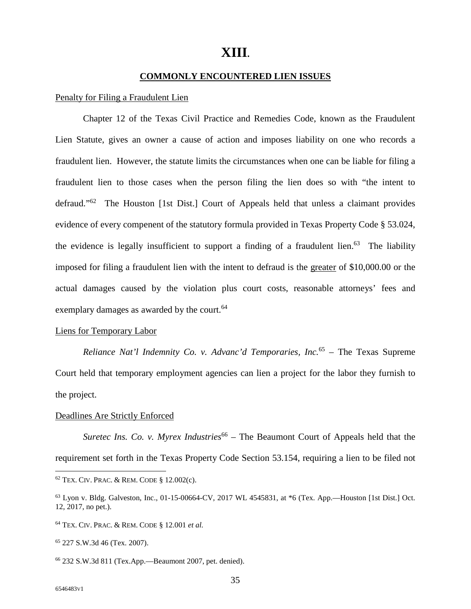## **XIII.**

#### **COMMONLY ENCOUNTERED LIEN ISSUES**

#### Penalty for Filing a Fraudulent Lien

Chapter 12 of the Texas Civil Practice and Remedies Code, known as the Fraudulent Lien Statute, gives an owner a cause of action and imposes liability on one who records a fraudulent lien. However, the statute limits the circumstances when one can be liable for filing a fraudulent lien to those cases when the person filing the lien does so with "the intent to defraud."<sup>62</sup> The Houston [1st Dist.] Court of Appeals held that unless a claimant provides evidence of every compenent of the statutory formula provided in Texas Property Code § 53.024, the evidence is legally insufficient to support a finding of a fraudulent lien.<sup>63</sup> The liability imposed for filing a fraudulent lien with the intent to defraud is the greater of \$10,000.00 or the actual damages caused by the violation plus court costs, reasonable attorneys' fees and exemplary damages as awarded by the court.<sup>64</sup>

#### Liens for Temporary Labor

*Reliance Nat'l Indemnity Co. v. Advanc'd Temporaries, Inc.*<sup>65</sup> – The Texas Supreme Court held that temporary employment agencies can lien a project for the labor they furnish to the project.

#### Deadlines Are Strictly Enforced

*Suretec Ins. Co. v. Myrex Industries*<sup>66</sup> – The Beaumont Court of Appeals held that the requirement set forth in the Texas Property Code Section 53.154, requiring a lien to be filed not

<sup>62</sup> TEX. CIV. PRAC. & REM. CODE § 12.002(c).

<sup>63</sup> Lyon v. Bldg. Galveston, Inc., 01-15-00664-CV, 2017 WL 4545831, at \*6 (Tex. App.—Houston [1st Dist.] Oct. 12, 2017, no pet.).

<sup>64</sup> TEX. CIV. PRAC. & REM. CODE § 12.001 *et al.*

<sup>65</sup> 227 S.W.3d 46 (Tex. 2007).

<sup>66</sup> 232 S.W.3d 811 (Tex.App.—Beaumont 2007, pet. denied).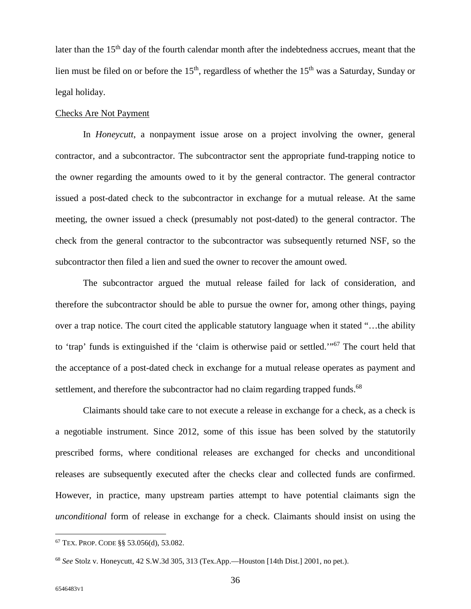later than the 15<sup>th</sup> day of the fourth calendar month after the indebtedness accrues, meant that the lien must be filed on or before the  $15<sup>th</sup>$ , regardless of whether the  $15<sup>th</sup>$  was a Saturday, Sunday or legal holiday.

#### Checks Are Not Payment

In *Honeycutt*, a nonpayment issue arose on a project involving the owner, general contractor, and a subcontractor. The subcontractor sent the appropriate fund-trapping notice to the owner regarding the amounts owed to it by the general contractor. The general contractor issued a post-dated check to the subcontractor in exchange for a mutual release. At the same meeting, the owner issued a check (presumably not post-dated) to the general contractor. The check from the general contractor to the subcontractor was subsequently returned NSF, so the subcontractor then filed a lien and sued the owner to recover the amount owed.

The subcontractor argued the mutual release failed for lack of consideration, and therefore the subcontractor should be able to pursue the owner for, among other things, paying over a trap notice. The court cited the applicable statutory language when it stated "…the ability to 'trap' funds is extinguished if the 'claim is otherwise paid or settled.'"<sup>67</sup> The court held that the acceptance of a post-dated check in exchange for a mutual release operates as payment and settlement, and therefore the subcontractor had no claim regarding trapped funds.<sup>68</sup>

Claimants should take care to not execute a release in exchange for a check, as a check is a negotiable instrument. Since 2012, some of this issue has been solved by the statutorily prescribed forms, where conditional releases are exchanged for checks and unconditional releases are subsequently executed after the checks clear and collected funds are confirmed. However, in practice, many upstream parties attempt to have potential claimants sign the *unconditional* form of release in exchange for a check. Claimants should insist on using the

<sup>67</sup> TEX. PROP. CODE §§ 53.056(d), 53.082.

<sup>68</sup> *See* Stolz v. Honeycutt, 42 S.W.3d 305, 313 (Tex.App.—Houston [14th Dist.] 2001, no pet.).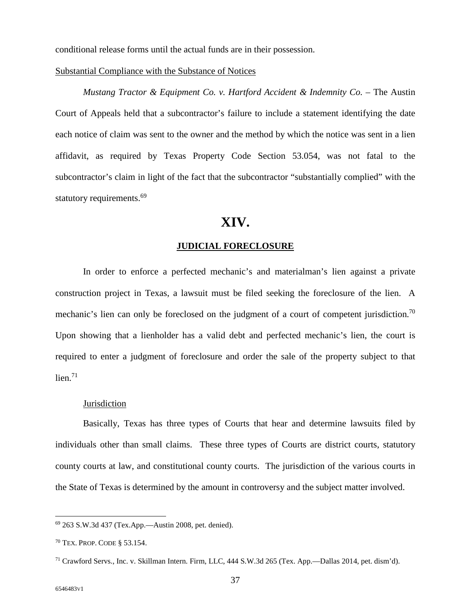conditional release forms until the actual funds are in their possession.

#### Substantial Compliance with the Substance of Notices

*Mustang Tractor & Equipment Co. v. Hartford Accident & Indemnity Co.* – The Austin Court of Appeals held that a subcontractor's failure to include a statement identifying the date each notice of claim was sent to the owner and the method by which the notice was sent in a lien affidavit, as required by Texas Property Code Section 53.054, was not fatal to the subcontractor's claim in light of the fact that the subcontractor "substantially complied" with the statutory requirements.<sup>69</sup>

### **XIV.**

#### **JUDICIAL FORECLOSURE**

In order to enforce a perfected mechanic's and materialman's lien against a private construction project in Texas, a lawsuit must be filed seeking the foreclosure of the lien. A mechanic's lien can only be foreclosed on the judgment of a court of competent jurisdiction.<sup>70</sup> Upon showing that a lienholder has a valid debt and perfected mechanic's lien, the court is required to enter a judgment of foreclosure and order the sale of the property subject to that  $lien.71$ 

#### **Jurisdiction**

Basically, Texas has three types of Courts that hear and determine lawsuits filed by individuals other than small claims. These three types of Courts are district courts, statutory county courts at law, and constitutional county courts. The jurisdiction of the various courts in the State of Texas is determined by the amount in controversy and the subject matter involved.

<sup>69</sup> 263 S.W.3d 437 (Tex.App.—Austin 2008, pet. denied).

<sup>70</sup> TEX. PROP. CODE § 53.154.

<sup>71</sup> Crawford Servs., Inc. v. Skillman Intern. Firm, LLC, 444 S.W.3d 265 (Tex. App.—Dallas 2014, pet. dism'd).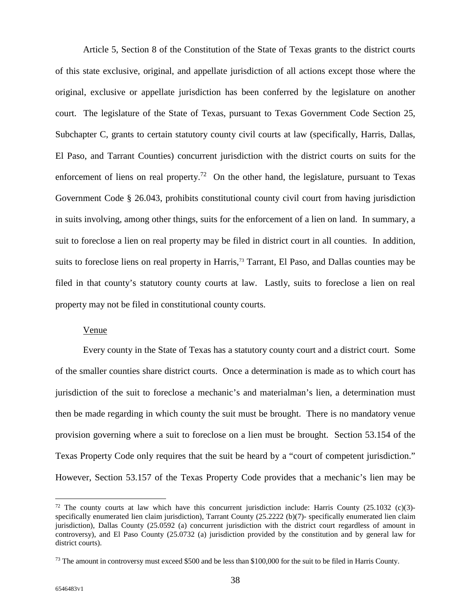Article 5, Section 8 of the Constitution of the State of Texas grants to the district courts of this state exclusive, original, and appellate jurisdiction of all actions except those where the original, exclusive or appellate jurisdiction has been conferred by the legislature on another court. The legislature of the State of Texas, pursuant to Texas Government Code Section 25, Subchapter C, grants to certain statutory county civil courts at law (specifically, Harris, Dallas, El Paso, and Tarrant Counties) concurrent jurisdiction with the district courts on suits for the enforcement of liens on real property.<sup>72</sup> On the other hand, the legislature, pursuant to Texas Government Code § 26.043, prohibits constitutional county civil court from having jurisdiction in suits involving, among other things, suits for the enforcement of a lien on land. In summary, a suit to foreclose a lien on real property may be filed in district court in all counties. In addition, suits to foreclose liens on real property in Harris,<sup>73</sup> Tarrant, El Paso, and Dallas counties may be filed in that county's statutory county courts at law. Lastly, suits to foreclose a lien on real property may not be filed in constitutional county courts.

#### Venue

Every county in the State of Texas has a statutory county court and a district court. Some of the smaller counties share district courts. Once a determination is made as to which court has jurisdiction of the suit to foreclose a mechanic's and materialman's lien, a determination must then be made regarding in which county the suit must be brought. There is no mandatory venue provision governing where a suit to foreclose on a lien must be brought. Section 53.154 of the Texas Property Code only requires that the suit be heard by a "court of competent jurisdiction." However, Section 53.157 of the Texas Property Code provides that a mechanic's lien may be

 $72$  The county courts at law which have this concurrent jurisdiction include: Harris County (25.1032 (c)(3)specifically enumerated lien claim jurisdiction), Tarrant County (25.2222 (b)(7)- specifically enumerated lien claim jurisdiction), Dallas County (25.0592 (a) concurrent jurisdiction with the district court regardless of amount in controversy), and El Paso County (25.0732 (a) jurisdiction provided by the constitution and by general law for district courts).

<sup>&</sup>lt;sup>73</sup> The amount in controversy must exceed \$500 and be less than \$100,000 for the suit to be filed in Harris County.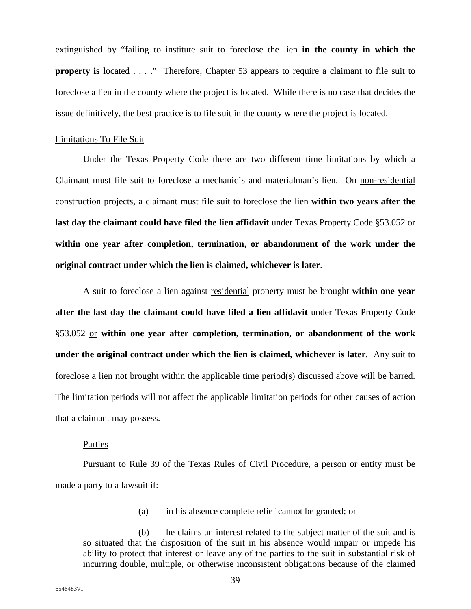extinguished by "failing to institute suit to foreclose the lien **in the county in which the property is** located . . . ." Therefore, Chapter 53 appears to require a claimant to file suit to foreclose a lien in the county where the project is located. While there is no case that decides the issue definitively, the best practice is to file suit in the county where the project is located.

#### Limitations To File Suit

Under the Texas Property Code there are two different time limitations by which a Claimant must file suit to foreclose a mechanic's and materialman's lien. On non-residential construction projects, a claimant must file suit to foreclose the lien **within two years after the last day the claimant could have filed the lien affidavit** under Texas Property Code §53.052 or **within one year after completion, termination, or abandonment of the work under the original contract under which the lien is claimed, whichever is later**.

A suit to foreclose a lien against residential property must be brought **within one year after the last day the claimant could have filed a lien affidavit** under Texas Property Code §53.052 or **within one year after completion, termination, or abandonment of the work under the original contract under which the lien is claimed, whichever is later**. Any suit to foreclose a lien not brought within the applicable time period(s) discussed above will be barred. The limitation periods will not affect the applicable limitation periods for other causes of action that a claimant may possess.

#### Parties

Pursuant to Rule 39 of the Texas Rules of Civil Procedure, a person or entity must be made a party to a lawsuit if:

(a) in his absence complete relief cannot be granted; or

(b) he claims an interest related to the subject matter of the suit and is so situated that the disposition of the suit in his absence would impair or impede his ability to protect that interest or leave any of the parties to the suit in substantial risk of incurring double, multiple, or otherwise inconsistent obligations because of the claimed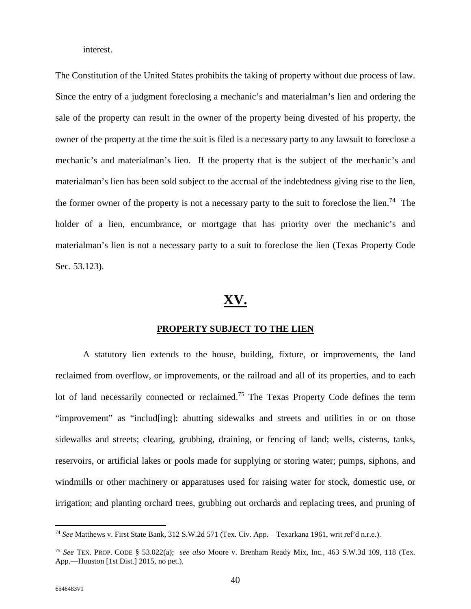interest.

The Constitution of the United States prohibits the taking of property without due process of law. Since the entry of a judgment foreclosing a mechanic's and materialman's lien and ordering the sale of the property can result in the owner of the property being divested of his property, the owner of the property at the time the suit is filed is a necessary party to any lawsuit to foreclose a mechanic's and materialman's lien. If the property that is the subject of the mechanic's and materialman's lien has been sold subject to the accrual of the indebtedness giving rise to the lien, the former owner of the property is not a necessary party to the suit to foreclose the lien.<sup>74</sup> The holder of a lien, encumbrance, or mortgage that has priority over the mechanic's and materialman's lien is not a necessary party to a suit to foreclose the lien (Texas Property Code Sec. 53.123).

## **XV.**

#### **PROPERTY SUBJECT TO THE LIEN**

A statutory lien extends to the house, building, fixture, or improvements, the land reclaimed from overflow, or improvements, or the railroad and all of its properties, and to each lot of land necessarily connected or reclaimed.<sup>75</sup> The Texas Property Code defines the term "improvement" as "includ[ing]: abutting sidewalks and streets and utilities in or on those sidewalks and streets; clearing, grubbing, draining, or fencing of land; wells, cisterns, tanks, reservoirs, or artificial lakes or pools made for supplying or storing water; pumps, siphons, and windmills or other machinery or apparatuses used for raising water for stock, domestic use, or irrigation; and planting orchard trees, grubbing out orchards and replacing trees, and pruning of

<sup>74</sup> *See* Matthews v. First State Bank, 312 S.W.2d 571 (Tex. Civ. App.—Texarkana 1961, writ ref'd n.r.e.).

<sup>75</sup> *See* TEX. PROP. CODE § 53.022(a); *see also* Moore v. Brenham Ready Mix, Inc., 463 S.W.3d 109, 118 (Tex. App.—Houston [1st Dist.] 2015, no pet.).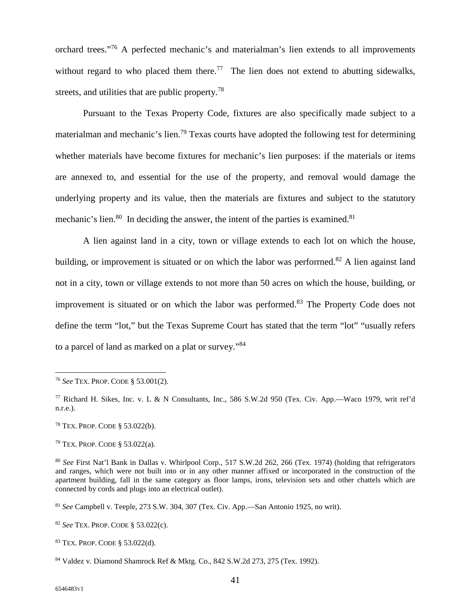orchard trees."<sup>76</sup> A perfected mechanic's and materialman's lien extends to all improvements without regard to who placed them there.<sup>77</sup> The lien does not extend to abutting sidewalks, streets, and utilities that are public property.<sup>78</sup>

Pursuant to the Texas Property Code, fixtures are also specifically made subject to a materialman and mechanic's lien.<sup>79</sup> Texas courts have adopted the following test for determining whether materials have become fixtures for mechanic's lien purposes: if the materials or items are annexed to, and essential for the use of the property, and removal would damage the underlying property and its value, then the materials are fixtures and subject to the statutory mechanic's lien. $80$  In deciding the answer, the intent of the parties is examined. $81$ 

A lien against land in a city, town or village extends to each lot on which the house, building, or improvement is situated or on which the labor was performed.<sup>82</sup> A lien against land not in a city, town or village extends to not more than 50 acres on which the house, building, or improvement is situated or on which the labor was performed.<sup>83</sup> The Property Code does not define the term "lot," but the Texas Supreme Court has stated that the term "lot" "usually refers to a parcel of land as marked on a plat or survey."<sup>84</sup>

<sup>76</sup> *See* TEX. PROP. CODE § 53.001(2).

<sup>77</sup> Richard H. Sikes, Inc. v. L & N Consultants, Inc., 586 S.W.2d 950 (Tex. Civ. App.—Waco 1979, writ ref'd n.r.e.).

<sup>78</sup> TEX. PROP. CODE § 53.022(b).

<sup>79</sup> TEX. PROP. CODE § 53.022(a).

<sup>80</sup> *See* First Nat'l Bank in Dallas v. Whirlpool Corp., 517 S.W.2d 262, 266 (Tex. 1974) (holding that refrigerators and ranges, which were not built into or in any other manner affixed or incorporated in the construction of the apartment building, fall in the same category as floor lamps, irons, television sets and other chattels which are connected by cords and plugs into an electrical outlet).

<sup>81</sup> *See* Campbell v. Teeple, 273 S.W. 304, 307 (Tex. Civ. App.—San Antonio 1925, no writ).

<sup>82</sup> *See* TEX. PROP. CODE § 53.022(c).

<sup>83</sup> TEX. PROP. CODE § 53.022(d).

<sup>84</sup> Valdez v. Diamond Shamrock Ref & Mktg. Co., 842 S.W.2d 273, 275 (Tex. 1992).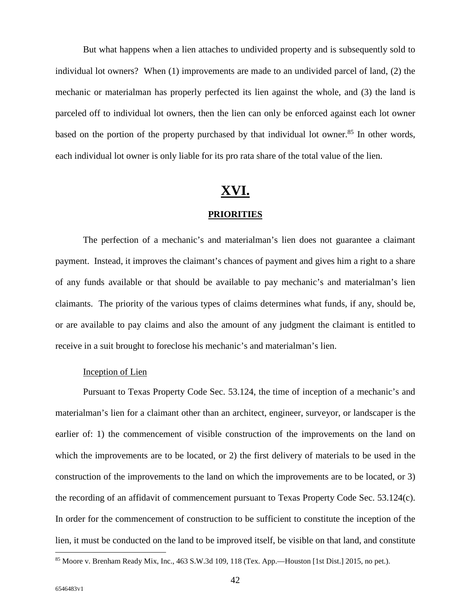But what happens when a lien attaches to undivided property and is subsequently sold to individual lot owners? When (1) improvements are made to an undivided parcel of land, (2) the mechanic or materialman has properly perfected its lien against the whole, and (3) the land is parceled off to individual lot owners, then the lien can only be enforced against each lot owner based on the portion of the property purchased by that individual lot owner.<sup>85</sup> In other words, each individual lot owner is only liable for its pro rata share of the total value of the lien.

## **XVI.**

#### **PRIORITIES**

The perfection of a mechanic's and materialman's lien does not guarantee a claimant payment. Instead, it improves the claimant's chances of payment and gives him a right to a share of any funds available or that should be available to pay mechanic's and materialman's lien claimants. The priority of the various types of claims determines what funds, if any, should be, or are available to pay claims and also the amount of any judgment the claimant is entitled to receive in a suit brought to foreclose his mechanic's and materialman's lien.

#### Inception of Lien

Pursuant to Texas Property Code Sec. 53.124, the time of inception of a mechanic's and materialman's lien for a claimant other than an architect, engineer, surveyor, or landscaper is the earlier of: 1) the commencement of visible construction of the improvements on the land on which the improvements are to be located, or 2) the first delivery of materials to be used in the construction of the improvements to the land on which the improvements are to be located, or 3) the recording of an affidavit of commencement pursuant to Texas Property Code Sec. 53.124(c). In order for the commencement of construction to be sufficient to constitute the inception of the lien, it must be conducted on the land to be improved itself, be visible on that land, and constitute

<sup>85</sup> Moore v. Brenham Ready Mix, Inc., 463 S.W.3d 109, 118 (Tex. App.—Houston [1st Dist.] 2015, no pet.).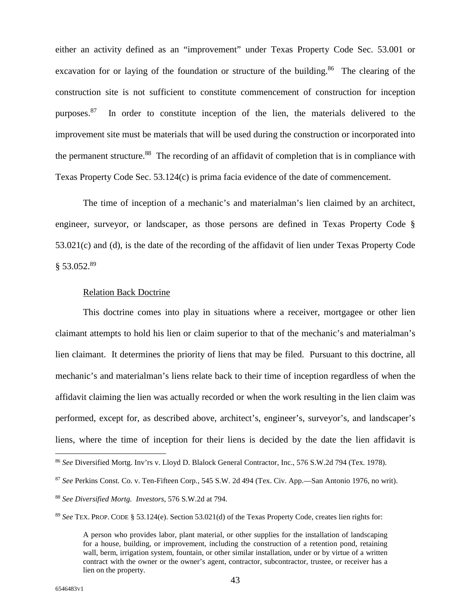either an activity defined as an "improvement" under Texas Property Code Sec. 53.001 or excavation for or laying of the foundation or structure of the building.<sup>86</sup> The clearing of the construction site is not sufficient to constitute commencement of construction for inception purposes.<sup>87</sup> In order to constitute inception of the lien, the materials delivered to the improvement site must be materials that will be used during the construction or incorporated into the permanent structure.<sup>88</sup> The recording of an affidavit of completion that is in compliance with Texas Property Code Sec. 53.124(c) is prima facia evidence of the date of commencement.

The time of inception of a mechanic's and materialman's lien claimed by an architect, engineer, surveyor, or landscaper, as those persons are defined in Texas Property Code § 53.021(c) and (d), is the date of the recording of the affidavit of lien under Texas Property Code  $§$  53.052.<sup>89</sup>

#### Relation Back Doctrine

This doctrine comes into play in situations where a receiver, mortgagee or other lien claimant attempts to hold his lien or claim superior to that of the mechanic's and materialman's lien claimant. It determines the priority of liens that may be filed. Pursuant to this doctrine, all mechanic's and materialman's liens relate back to their time of inception regardless of when the affidavit claiming the lien was actually recorded or when the work resulting in the lien claim was performed, except for, as described above, architect's, engineer's, surveyor's, and landscaper's liens, where the time of inception for their liens is decided by the date the lien affidavit is

<sup>86</sup> *See* Diversified Mortg. Inv'rs v. Lloyd D. Blalock General Contractor, Inc., 576 S.W.2d 794 (Tex. 1978).

<sup>87</sup> *See* Perkins Const. Co. v. Ten-Fifteen Corp*.*, 545 S.W. 2d 494 (Tex. Civ. App.—San Antonio 1976, no writ).

<sup>88</sup> *See Diversified Mortg. Investors*, 576 S.W.2d at 794.

<sup>89</sup> *See* TEX. PROP. CODE § 53.124(e). Section 53.021(d) of the Texas Property Code, creates lien rights for:

A person who provides labor, plant material, or other supplies for the installation of landscaping for a house, building, or improvement, including the construction of a retention pond, retaining wall, berm, irrigation system, fountain, or other similar installation, under or by virtue of a written contract with the owner or the owner's agent, contractor, subcontractor, trustee, or receiver has a lien on the property.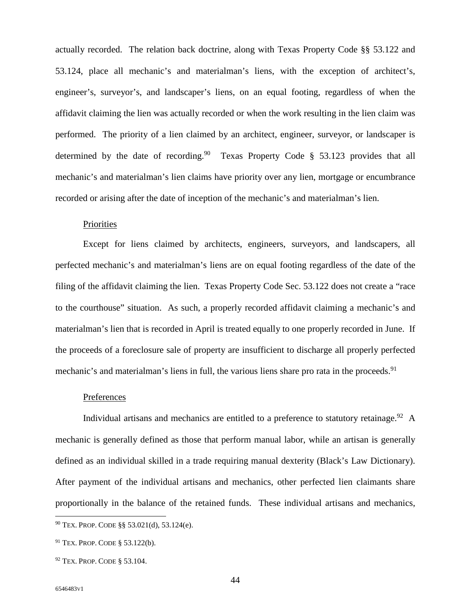actually recorded. The relation back doctrine, along with Texas Property Code §§ 53.122 and 53.124, place all mechanic's and materialman's liens, with the exception of architect's, engineer's, surveyor's, and landscaper's liens, on an equal footing, regardless of when the affidavit claiming the lien was actually recorded or when the work resulting in the lien claim was performed. The priority of a lien claimed by an architect, engineer, surveyor, or landscaper is determined by the date of recording.<sup>90</sup> Texas Property Code  $\S$  53.123 provides that all mechanic's and materialman's lien claims have priority over any lien, mortgage or encumbrance recorded or arising after the date of inception of the mechanic's and materialman's lien.

#### **Priorities**

Except for liens claimed by architects, engineers, surveyors, and landscapers, all perfected mechanic's and materialman's liens are on equal footing regardless of the date of the filing of the affidavit claiming the lien. Texas Property Code Sec. 53.122 does not create a "race to the courthouse" situation. As such, a properly recorded affidavit claiming a mechanic's and materialman's lien that is recorded in April is treated equally to one properly recorded in June. If the proceeds of a foreclosure sale of property are insufficient to discharge all properly perfected mechanic's and materialman's liens in full, the various liens share pro rata in the proceeds.<sup>91</sup>

#### Preferences

Individual artisans and mechanics are entitled to a preference to statutory retainage.<sup>92</sup> A mechanic is generally defined as those that perform manual labor, while an artisan is generally defined as an individual skilled in a trade requiring manual dexterity (Black's Law Dictionary). After payment of the individual artisans and mechanics, other perfected lien claimants share proportionally in the balance of the retained funds. These individual artisans and mechanics,

<sup>90</sup> TEX. PROP. CODE §§ 53.021(d), 53.124(e).

<sup>91</sup> TEX. PROP. CODE § 53.122(b).

<sup>92</sup> TEX. PROP. CODE § 53.104.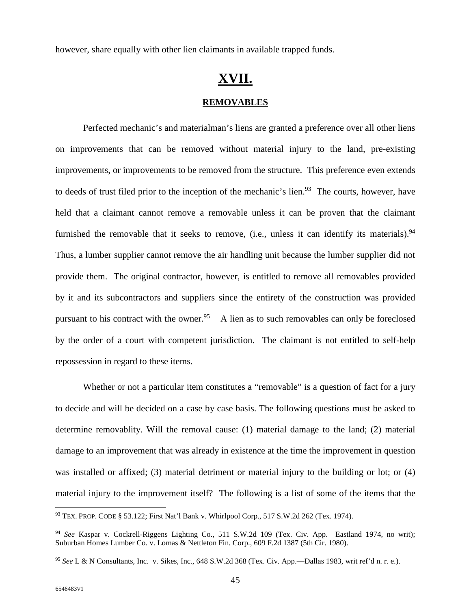however, share equally with other lien claimants in available trapped funds.

## **XVII. REMOVABLES**

Perfected mechanic's and materialman's liens are granted a preference over all other liens on improvements that can be removed without material injury to the land, pre-existing improvements, or improvements to be removed from the structure. This preference even extends to deeds of trust filed prior to the inception of the mechanic's lien.<sup>93</sup> The courts, however, have held that a claimant cannot remove a removable unless it can be proven that the claimant furnished the removable that it seeks to remove, (i.e., unless it can identify its materials).<sup>94</sup> Thus, a lumber supplier cannot remove the air handling unit because the lumber supplier did not provide them. The original contractor, however, is entitled to remove all removables provided by it and its subcontractors and suppliers since the entirety of the construction was provided pursuant to his contract with the owner.<sup>95</sup> A lien as to such removables can only be foreclosed by the order of a court with competent jurisdiction. The claimant is not entitled to self-help repossession in regard to these items.

Whether or not a particular item constitutes a "removable" is a question of fact for a jury to decide and will be decided on a case by case basis. The following questions must be asked to determine removablity. Will the removal cause: (1) material damage to the land; (2) material damage to an improvement that was already in existence at the time the improvement in question was installed or affixed; (3) material detriment or material injury to the building or lot; or (4) material injury to the improvement itself? The following is a list of some of the items that the

<sup>93</sup> TEX. PROP. CODE § 53.122; First Nat'l Bank v. Whirlpool Corp., 517 S.W.2d 262 (Tex. 1974).

<sup>94</sup> *See* Kaspar v. Cockrell-Riggens Lighting Co., 511 S.W.2d 109 (Tex. Civ. App.—Eastland 1974, no writ); Suburban Homes Lumber Co. v. Lomas & Nettleton Fin. Corp., 609 F.2d 1387 (5th Cir. 1980).

<sup>95</sup> *See* L & N Consultants, Inc. v. Sikes, Inc., 648 S.W.2d 368 (Tex. Civ. App.—Dallas 1983, writ ref'd n. r. e.).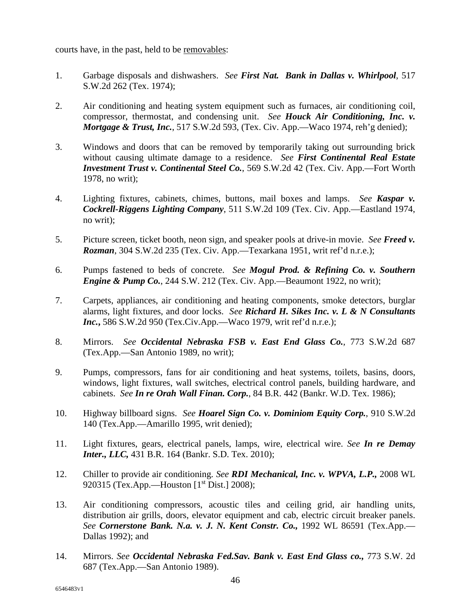courts have, in the past, held to be removables:

- 1. Garbage disposals and dishwashers. *See First Nat. Bank in Dallas v. Whirlpool*, 517 S.W.2d 262 (Tex. 1974);
- 2. Air conditioning and heating system equipment such as furnaces, air conditioning coil, compressor, thermostat, and condensing unit. *See Houck Air Conditioning, Inc. v. Mortgage & Trust, Inc.*, 517 S.W.2d 593, (Tex. Civ. App.—Waco 1974, reh'g denied);
- 3. Windows and doors that can be removed by temporarily taking out surrounding brick without causing ultimate damage to a residence. *See First Continental Real Estate Investment Trust v. Continental Steel Co.*, 569 S.W.2d 42 (Tex. Civ. App.—Fort Worth 1978, no writ);
- 4. Lighting fixtures, cabinets, chimes, buttons, mail boxes and lamps. *See Kaspar v. Cockrell-Riggens Lighting Company*, 511 S.W.2d 109 (Tex. Civ. App.—Eastland 1974, no writ);
- 5. Picture screen, ticket booth, neon sign, and speaker pools at drive-in movie. *See Freed v. Rozman*, 304 S.W.2d 235 (Tex. Civ. App.—Texarkana 1951, writ ref'd n.r.e.);
- 6. Pumps fastened to beds of concrete. *See Mogul Prod. & Refining Co. v. Southern Engine & Pump Co.*, 244 S.W. 212 (Tex. Civ. App.—Beaumont 1922, no writ);
- 7. Carpets, appliances, air conditioning and heating components, smoke detectors, burglar alarms, light fixtures, and door locks. *See Richard H. Sikes Inc. v. L & N Consultants Inc.***,** 586 S.W.2d 950 (Tex.Civ.App.—Waco 1979, writ ref'd n.r.e.);
- 8. Mirrors. *See Occidental Nebraska FSB v. East End Glass Co.,* 773 S.W.2d 687 (Tex.App.—San Antonio 1989, no writ);
- 9. Pumps, compressors, fans for air conditioning and heat systems, toilets, basins, doors, windows, light fixtures, wall switches, electrical control panels, building hardware, and cabinets. *See In re Orah Wall Finan. Corp.*, 84 B.R. 442 (Bankr. W.D. Tex. 1986);
- 10. Highway billboard signs. *See Hoarel Sign Co. v. Dominiom Equity Corp.*, 910 S.W.2d 140 (Tex.App.—Amarillo 1995, writ denied);
- 11. Light fixtures, gears, electrical panels, lamps, wire, electrical wire. *See In re Demay Inter., LLC,* 431 B.R. 164 (Bankr. S.D. Tex. 2010);
- 12. Chiller to provide air conditioning. *See RDI Mechanical, Inc. v. WPVA, L.P.,* 2008 WL 920315 (Tex.App.—Houston  $[1<sup>st</sup> Dist.]$  2008);
- 13. Air conditioning compressors, acoustic tiles and ceiling grid, air handling units, distribution air grills, doors, elevator equipment and cab, electric circuit breaker panels. *See Cornerstone Bank. N.a. v. J. N. Kent Constr. Co.,* 1992 WL 86591 (Tex.App.— Dallas 1992); and
- 14. Mirrors. *See Occidental Nebraska Fed.Sav. Bank v. East End Glass co.,* 773 S.W. 2d 687 (Tex.App.—San Antonio 1989).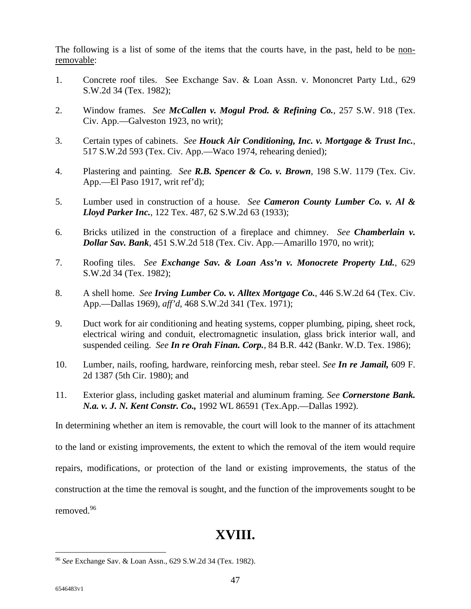The following is a list of some of the items that the courts have, in the past, held to be nonremovable:

- 1. Concrete roof tiles. See Exchange Sav. & Loan Assn. v. Mononcret Party Ltd., 629 S.W.2d 34 (Tex. 1982);
- 2. Window frames. *See McCallen v. Mogul Prod. & Refining Co.*, 257 S.W. 918 (Tex. Civ. App.—Galveston 1923, no writ);
- 3. Certain types of cabinets. *See Houck Air Conditioning, Inc. v. Mortgage & Trust Inc.*, 517 S.W.2d 593 (Tex. Civ. App.—Waco 1974, rehearing denied);
- 4. Plastering and painting. *See R.B. Spencer & Co. v. Brown*, 198 S.W. 1179 (Tex. Civ. App.—El Paso 1917, writ ref'd);
- 5. Lumber used in construction of a house. *See Cameron County Lumber Co. v. Al & Lloyd Parker Inc.*, 122 Tex. 487, 62 S.W.2d 63 (1933);
- 6. Bricks utilized in the construction of a fireplace and chimney. *See Chamberlain v. Dollar Sav. Bank*, 451 S.W.2d 518 (Tex. Civ. App.—Amarillo 1970, no writ);
- 7. Roofing tiles. *See Exchange Sav. & Loan Ass'n v. Monocrete Property Ltd.*, 629 S.W.2d 34 (Tex. 1982);
- 8. A shell home. *See Irving Lumber Co. v. Alltex Mortgage Co.*, 446 S.W.2d 64 (Tex. Civ. App.—Dallas 1969), *aff'd*, 468 S.W.2d 341 (Tex. 1971);
- 9. Duct work for air conditioning and heating systems, copper plumbing, piping, sheet rock, electrical wiring and conduit, electromagnetic insulation, glass brick interior wall, and suspended ceiling. *See In re Orah Finan. Corp.*, 84 B.R. 442 (Bankr. W.D. Tex. 1986);
- 10. Lumber, nails, roofing, hardware, reinforcing mesh, rebar steel. *See In re Jamail,* 609 F. 2d 1387 (5th Cir. 1980); and
- 11. Exterior glass, including gasket material and aluminum framing. *See Cornerstone Bank. N.a. v. J. N. Kent Constr. Co.,* 1992 WL 86591 (Tex.App.—Dallas 1992).

In determining whether an item is removable, the court will look to the manner of its attachment

to the land or existing improvements, the extent to which the removal of the item would require

repairs, modifications, or protection of the land or existing improvements, the status of the

construction at the time the removal is sought, and the function of the improvements sought to be

removed.<sup>96</sup>

## **XVIII.**

<sup>96</sup> *See* Exchange Sav. & Loan Assn., 629 S.W.2d 34 (Tex. 1982).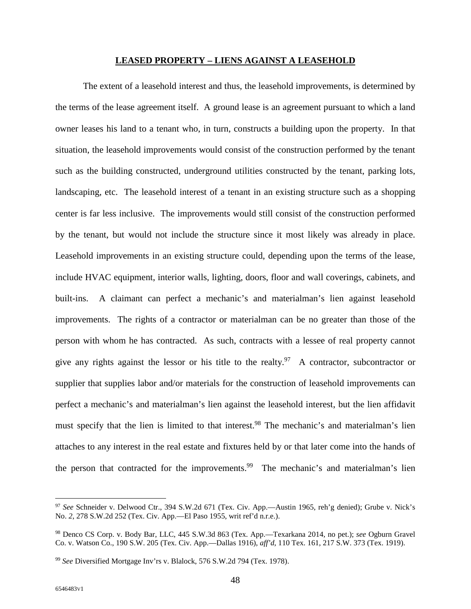#### **LEASED PROPERTY – LIENS AGAINST A LEASEHOLD**

The extent of a leasehold interest and thus, the leasehold improvements, is determined by the terms of the lease agreement itself. A ground lease is an agreement pursuant to which a land owner leases his land to a tenant who, in turn, constructs a building upon the property. In that situation, the leasehold improvements would consist of the construction performed by the tenant such as the building constructed, underground utilities constructed by the tenant, parking lots, landscaping, etc. The leasehold interest of a tenant in an existing structure such as a shopping center is far less inclusive. The improvements would still consist of the construction performed by the tenant, but would not include the structure since it most likely was already in place. Leasehold improvements in an existing structure could, depending upon the terms of the lease, include HVAC equipment, interior walls, lighting, doors, floor and wall coverings, cabinets, and built-ins. A claimant can perfect a mechanic's and materialman's lien against leasehold improvements. The rights of a contractor or materialman can be no greater than those of the person with whom he has contracted. As such, contracts with a lessee of real property cannot give any rights against the lessor or his title to the realty.<sup>97</sup> A contractor, subcontractor or supplier that supplies labor and/or materials for the construction of leasehold improvements can perfect a mechanic's and materialman's lien against the leasehold interest, but the lien affidavit must specify that the lien is limited to that interest.<sup>98</sup> The mechanic's and materialman's lien attaches to any interest in the real estate and fixtures held by or that later come into the hands of the person that contracted for the improvements.<sup>99</sup> The mechanic's and materialman's lien

<sup>97</sup> *See* Schneider v. Delwood Ctr., 394 S.W.2d 671 (Tex. Civ. App.—Austin 1965, reh'g denied); Grube v. Nick's No. *2*, 278 S.W.2d 252 (Tex. Civ. App.—El Paso 1955, writ ref'd n.r.e.).

<sup>98</sup> Denco CS Corp. v. Body Bar, LLC, 445 S.W.3d 863 (Tex. App.—Texarkana 2014, no pet.); *see* Ogburn Gravel Co. v. Watson Co., 190 S.W. 205 (Tex. Civ. App.—Dallas 1916), *aff'd*, 110 Tex. 161, 217 S.W. 373 (Tex. 1919).

<sup>99</sup> *See* Diversified Mortgage Inv'rs v. Blalock, 576 S.W.2d 794 (Tex. 1978).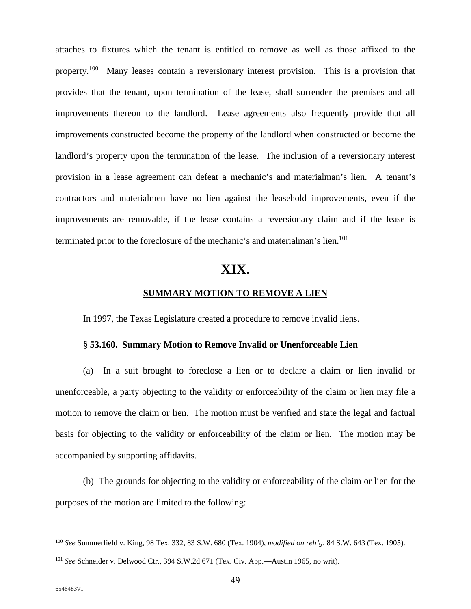attaches to fixtures which the tenant is entitled to remove as well as those affixed to the property.<sup>100</sup> Many leases contain a reversionary interest provision. This is a provision that provides that the tenant, upon termination of the lease, shall surrender the premises and all improvements thereon to the landlord. Lease agreements also frequently provide that all improvements constructed become the property of the landlord when constructed or become the landlord's property upon the termination of the lease. The inclusion of a reversionary interest provision in a lease agreement can defeat a mechanic's and materialman's lien. A tenant's contractors and materialmen have no lien against the leasehold improvements, even if the improvements are removable, if the lease contains a reversionary claim and if the lease is terminated prior to the foreclosure of the mechanic's and materialman's lien.<sup>101</sup>

## **XIX.**

#### **SUMMARY MOTION TO REMOVE A LIEN**

In 1997, the Texas Legislature created a procedure to remove invalid liens.

#### **§ 53.160. Summary Motion to Remove Invalid or Unenforceable Lien**

(a) In a suit brought to foreclose a lien or to declare a claim or lien invalid or unenforceable, a party objecting to the validity or enforceability of the claim or lien may file a motion to remove the claim or lien. The motion must be verified and state the legal and factual basis for objecting to the validity or enforceability of the claim or lien. The motion may be accompanied by supporting affidavits.

(b) The grounds for objecting to the validity or enforceability of the claim or lien for the purposes of the motion are limited to the following:

<sup>100</sup> *See* Summerfield v. King, 98 Tex. 332, 83 S.W. 680 (Tex. 1904), *modified on reh'g*, 84 S.W. 643 (Tex. 1905).

<sup>101</sup> *See* Schneider v. Delwood Ctr., 394 S.W.2d 671 (Tex. Civ. App.—Austin 1965, no writ).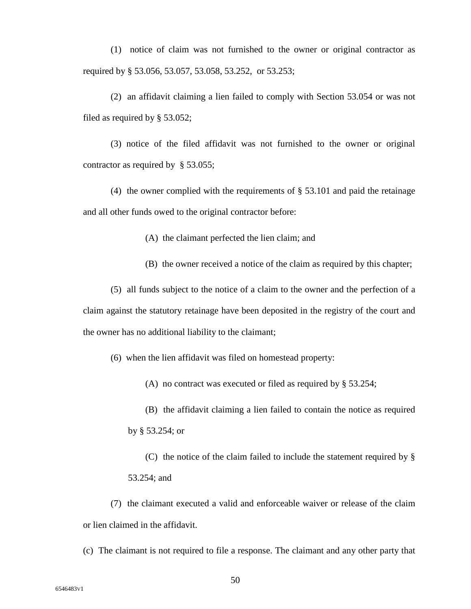(1) notice of claim was not furnished to the owner or original contractor as required by § 53.056, 53.057, 53.058, 53.252, or 53.253;

(2) an affidavit claiming a lien failed to comply with Section 53.054 or was not filed as required by § 53.052;

(3) notice of the filed affidavit was not furnished to the owner or original contractor as required by § 53.055;

(4) the owner complied with the requirements of § 53.101 and paid the retainage and all other funds owed to the original contractor before:

(A) the claimant perfected the lien claim; and

(B) the owner received a notice of the claim as required by this chapter;

(5) all funds subject to the notice of a claim to the owner and the perfection of a claim against the statutory retainage have been deposited in the registry of the court and the owner has no additional liability to the claimant;

(6) when the lien affidavit was filed on homestead property:

(A) no contract was executed or filed as required by § 53.254;

(B) the affidavit claiming a lien failed to contain the notice as required by § 53.254; or

(C) the notice of the claim failed to include the statement required by § 53.254; and

(7) the claimant executed a valid and enforceable waiver or release of the claim or lien claimed in the affidavit.

(c) The claimant is not required to file a response. The claimant and any other party that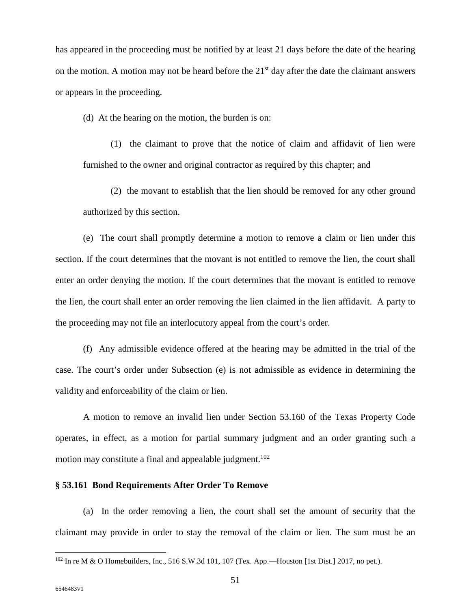has appeared in the proceeding must be notified by at least 21 days before the date of the hearing on the motion. A motion may not be heard before the  $21<sup>st</sup>$  day after the date the claimant answers or appears in the proceeding.

(d) At the hearing on the motion, the burden is on:

(1) the claimant to prove that the notice of claim and affidavit of lien were furnished to the owner and original contractor as required by this chapter; and

(2) the movant to establish that the lien should be removed for any other ground authorized by this section.

(e) The court shall promptly determine a motion to remove a claim or lien under this section. If the court determines that the movant is not entitled to remove the lien, the court shall enter an order denying the motion. If the court determines that the movant is entitled to remove the lien, the court shall enter an order removing the lien claimed in the lien affidavit. A party to the proceeding may not file an interlocutory appeal from the court's order.

(f) Any admissible evidence offered at the hearing may be admitted in the trial of the case. The court's order under Subsection (e) is not admissible as evidence in determining the validity and enforceability of the claim or lien.

A motion to remove an invalid lien under Section 53.160 of the Texas Property Code operates, in effect, as a motion for partial summary judgment and an order granting such a motion may constitute a final and appealable judgment.<sup>102</sup>

#### **§ 53.161 Bond Requirements After Order To Remove**

(a) In the order removing a lien, the court shall set the amount of security that the claimant may provide in order to stay the removal of the claim or lien. The sum must be an

<sup>102</sup> In re M & O Homebuilders, Inc., 516 S.W.3d 101, 107 (Tex. App.—Houston [1st Dist.] 2017, no pet.).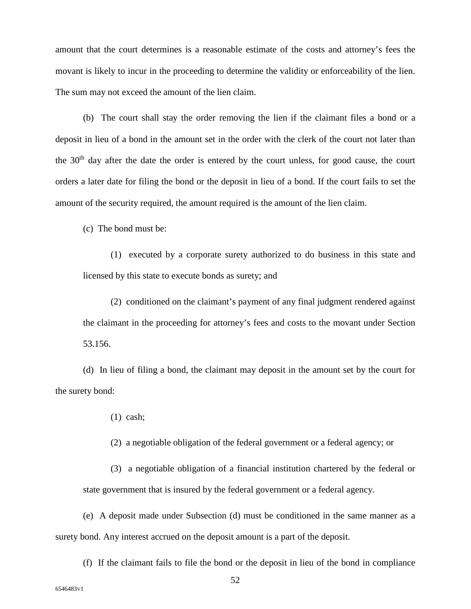amount that the court determines is a reasonable estimate of the costs and attorney's fees the movant is likely to incur in the proceeding to determine the validity or enforceability of the lien. The sum may not exceed the amount of the lien claim.

(b) The court shall stay the order removing the lien if the claimant files a bond or a deposit in lieu of a bond in the amount set in the order with the clerk of the court not later than the  $30<sup>th</sup>$  day after the date the order is entered by the court unless, for good cause, the court orders a later date for filing the bond or the deposit in lieu of a bond. If the court fails to set the amount of the security required, the amount required is the amount of the lien claim.

(c) The bond must be:

(1) executed by a corporate surety authorized to do business in this state and licensed by this state to execute bonds as surety; and

(2) conditioned on the claimant's payment of any final judgment rendered against the claimant in the proceeding for attorney's fees and costs to the movant under Section 53.156.

(d) In lieu of filing a bond, the claimant may deposit in the amount set by the court for the surety bond:

(1) cash;

(2) a negotiable obligation of the federal government or a federal agency; or

(3) a negotiable obligation of a financial institution chartered by the federal or state government that is insured by the federal government or a federal agency.

(e) A deposit made under Subsection (d) must be conditioned in the same manner as a surety bond. Any interest accrued on the deposit amount is a part of the deposit.

(f) If the claimant fails to file the bond or the deposit in lieu of the bond in compliance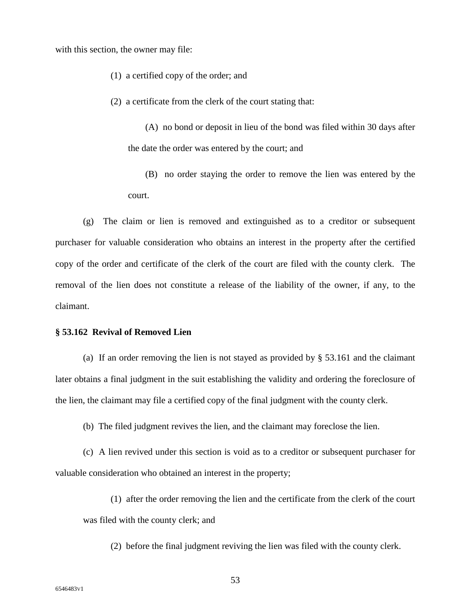with this section, the owner may file:

- (1) a certified copy of the order; and
- (2) a certificate from the clerk of the court stating that:

(A) no bond or deposit in lieu of the bond was filed within 30 days after the date the order was entered by the court; and

(B) no order staying the order to remove the lien was entered by the court.

(g) The claim or lien is removed and extinguished as to a creditor or subsequent purchaser for valuable consideration who obtains an interest in the property after the certified copy of the order and certificate of the clerk of the court are filed with the county clerk. The removal of the lien does not constitute a release of the liability of the owner, if any, to the claimant.

#### **§ 53.162 Revival of Removed Lien**

(a) If an order removing the lien is not stayed as provided by § 53.161 and the claimant later obtains a final judgment in the suit establishing the validity and ordering the foreclosure of the lien, the claimant may file a certified copy of the final judgment with the county clerk.

(b) The filed judgment revives the lien, and the claimant may foreclose the lien.

(c) A lien revived under this section is void as to a creditor or subsequent purchaser for valuable consideration who obtained an interest in the property;

- (1) after the order removing the lien and the certificate from the clerk of the court was filed with the county clerk; and
	- (2) before the final judgment reviving the lien was filed with the county clerk.

53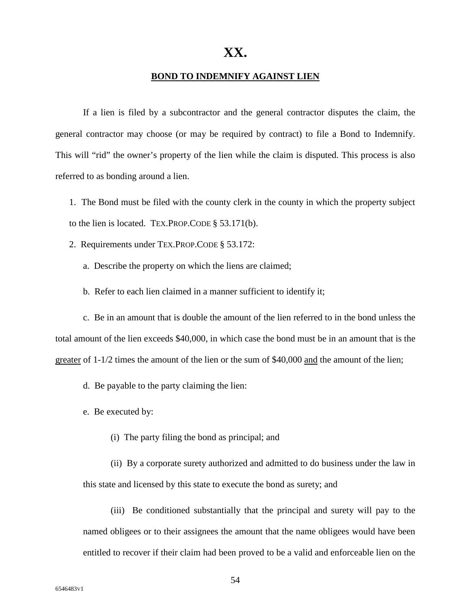#### **BOND TO INDEMNIFY AGAINST LIEN**

If a lien is filed by a subcontractor and the general contractor disputes the claim, the general contractor may choose (or may be required by contract) to file a Bond to Indemnify. This will "rid" the owner's property of the lien while the claim is disputed. This process is also referred to as bonding around a lien.

1. The Bond must be filed with the county clerk in the county in which the property subject to the lien is located. TEX.PROP.CODE § 53.171(b).

2. Requirements under TEX.PROP.CODE § 53.172:

a. Describe the property on which the liens are claimed;

b. Refer to each lien claimed in a manner sufficient to identify it;

c. Be in an amount that is double the amount of the lien referred to in the bond unless the total amount of the lien exceeds \$40,000, in which case the bond must be in an amount that is the greater of 1-1/2 times the amount of the lien or the sum of \$40,000 and the amount of the lien;

d. Be payable to the party claiming the lien:

e. Be executed by:

(i) The party filing the bond as principal; and

(ii) By a corporate surety authorized and admitted to do business under the law in this state and licensed by this state to execute the bond as surety; and

(iii) Be conditioned substantially that the principal and surety will pay to the named obligees or to their assignees the amount that the name obligees would have been entitled to recover if their claim had been proved to be a valid and enforceable lien on the

54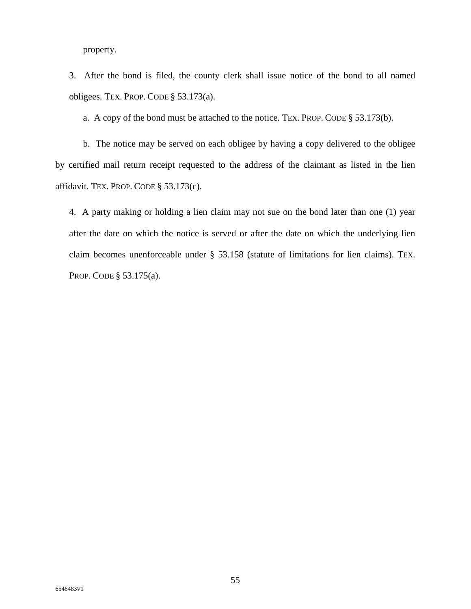property.

3. After the bond is filed, the county clerk shall issue notice of the bond to all named obligees. TEX. PROP. CODE § 53.173(a).

a. A copy of the bond must be attached to the notice. TEX. PROP. CODE § 53.173(b).

b. The notice may be served on each obligee by having a copy delivered to the obligee by certified mail return receipt requested to the address of the claimant as listed in the lien affidavit. TEX. PROP. CODE § 53.173(c).

4. A party making or holding a lien claim may not sue on the bond later than one (1) year after the date on which the notice is served or after the date on which the underlying lien claim becomes unenforceable under § 53.158 (statute of limitations for lien claims). TEX. PROP. CODE § 53.175(a).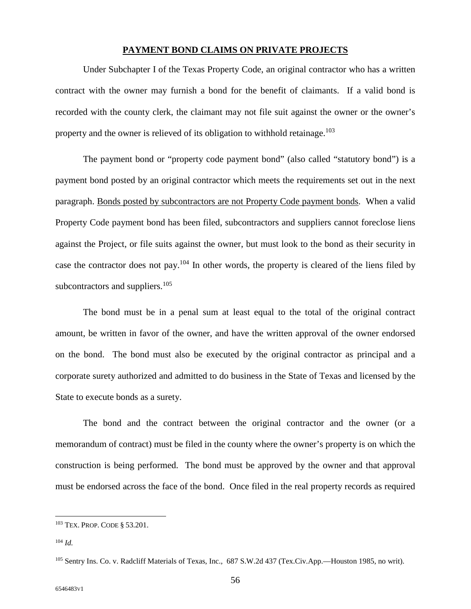#### **PAYMENT BOND CLAIMS ON PRIVATE PROJECTS**

Under Subchapter I of the Texas Property Code, an original contractor who has a written contract with the owner may furnish a bond for the benefit of claimants. If a valid bond is recorded with the county clerk, the claimant may not file suit against the owner or the owner's property and the owner is relieved of its obligation to withhold retainage.<sup>103</sup>

The payment bond or "property code payment bond" (also called "statutory bond") is a payment bond posted by an original contractor which meets the requirements set out in the next paragraph. Bonds posted by subcontractors are not Property Code payment bonds. When a valid Property Code payment bond has been filed, subcontractors and suppliers cannot foreclose liens against the Project, or file suits against the owner, but must look to the bond as their security in case the contractor does not pay.<sup>104</sup> In other words, the property is cleared of the liens filed by subcontractors and suppliers. $105$ 

The bond must be in a penal sum at least equal to the total of the original contract amount, be written in favor of the owner, and have the written approval of the owner endorsed on the bond. The bond must also be executed by the original contractor as principal and a corporate surety authorized and admitted to do business in the State of Texas and licensed by the State to execute bonds as a surety.

The bond and the contract between the original contractor and the owner (or a memorandum of contract) must be filed in the county where the owner's property is on which the construction is being performed. The bond must be approved by the owner and that approval must be endorsed across the face of the bond. Once filed in the real property records as required

<sup>103</sup> TEX. PROP. CODE § 53.201.

<sup>104</sup> *Id.*

<sup>105</sup> Sentry Ins. Co. v. Radcliff Materials of Texas, Inc.*,* 687 S.W.2d 437 (Tex.Civ.App.—Houston 1985, no writ).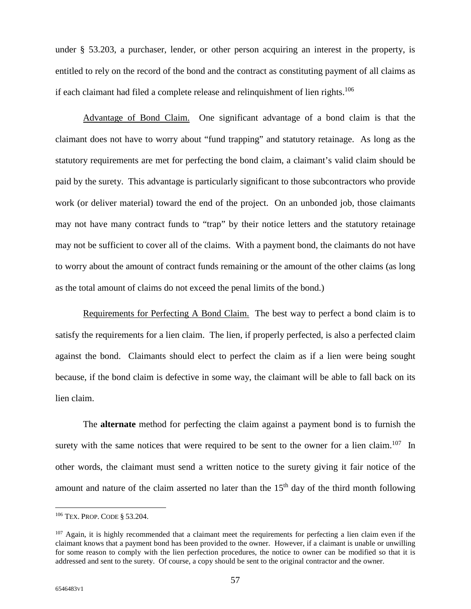under § 53.203, a purchaser, lender, or other person acquiring an interest in the property, is entitled to rely on the record of the bond and the contract as constituting payment of all claims as if each claimant had filed a complete release and relinquishment of lien rights.<sup>106</sup>

Advantage of Bond Claim. One significant advantage of a bond claim is that the claimant does not have to worry about "fund trapping" and statutory retainage. As long as the statutory requirements are met for perfecting the bond claim, a claimant's valid claim should be paid by the surety. This advantage is particularly significant to those subcontractors who provide work (or deliver material) toward the end of the project. On an unbonded job, those claimants may not have many contract funds to "trap" by their notice letters and the statutory retainage may not be sufficient to cover all of the claims. With a payment bond, the claimants do not have to worry about the amount of contract funds remaining or the amount of the other claims (as long as the total amount of claims do not exceed the penal limits of the bond.)

Requirements for Perfecting A Bond Claim. The best way to perfect a bond claim is to satisfy the requirements for a lien claim. The lien, if properly perfected, is also a perfected claim against the bond. Claimants should elect to perfect the claim as if a lien were being sought because, if the bond claim is defective in some way, the claimant will be able to fall back on its lien claim.

The **alternate** method for perfecting the claim against a payment bond is to furnish the surety with the same notices that were required to be sent to the owner for a lien claim.<sup>107</sup> In other words, the claimant must send a written notice to the surety giving it fair notice of the amount and nature of the claim asserted no later than the  $15<sup>th</sup>$  day of the third month following

<sup>106</sup> TEX. PROP. CODE § 53.204.

 $107$  Again, it is highly recommended that a claimant meet the requirements for perfecting a lien claim even if the claimant knows that a payment bond has been provided to the owner. However, if a claimant is unable or unwilling for some reason to comply with the lien perfection procedures, the notice to owner can be modified so that it is addressed and sent to the surety. Of course, a copy should be sent to the original contractor and the owner.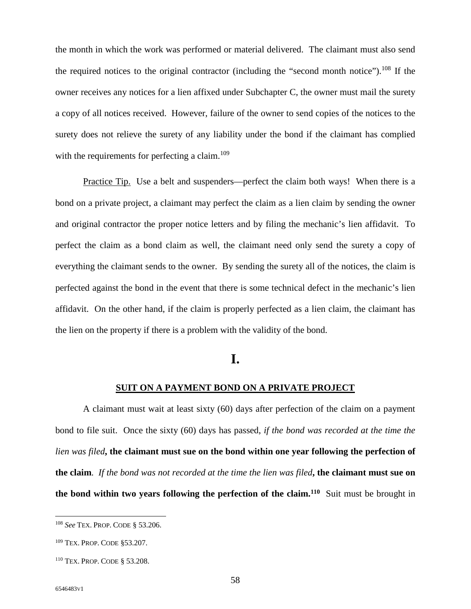the month in which the work was performed or material delivered. The claimant must also send the required notices to the original contractor (including the "second month notice").<sup>108</sup> If the owner receives any notices for a lien affixed under Subchapter C, the owner must mail the surety a copy of all notices received. However, failure of the owner to send copies of the notices to the surety does not relieve the surety of any liability under the bond if the claimant has complied with the requirements for perfecting a claim.<sup>109</sup>

Practice Tip. Use a belt and suspenders—perfect the claim both ways! When there is a bond on a private project, a claimant may perfect the claim as a lien claim by sending the owner and original contractor the proper notice letters and by filing the mechanic's lien affidavit. To perfect the claim as a bond claim as well, the claimant need only send the surety a copy of everything the claimant sends to the owner. By sending the surety all of the notices, the claim is perfected against the bond in the event that there is some technical defect in the mechanic's lien affidavit. On the other hand, if the claim is properly perfected as a lien claim, the claimant has the lien on the property if there is a problem with the validity of the bond.

## **I.**

#### **SUIT ON A PAYMENT BOND ON A PRIVATE PROJECT**

A claimant must wait at least sixty (60) days after perfection of the claim on a payment bond to file suit. Once the sixty (60) days has passed, *if the bond was recorded at the time the lien was filed***, the claimant must sue on the bond within one year following the perfection of the claim**. *If the bond was not recorded at the time the lien was filed***, the claimant must sue on the bond within two years following the perfection of the claim.<sup>110</sup>** Suit must be brought in

<sup>108</sup> *See* TEX. PROP. CODE § 53.206.

<sup>109</sup> TEX. PROP. CODE §53.207.

<sup>110</sup> TEX. PROP. CODE § 53.208.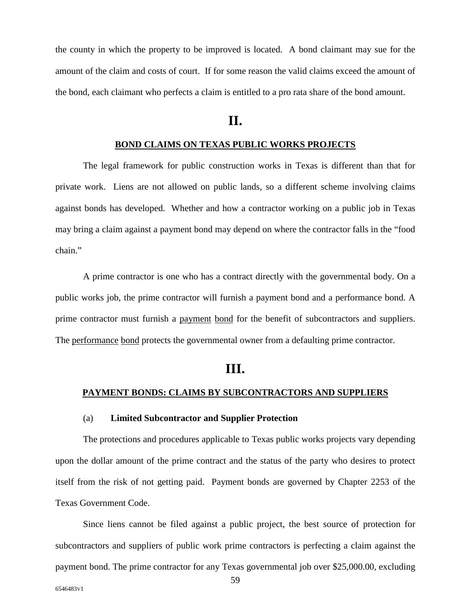the county in which the property to be improved is located. A bond claimant may sue for the amount of the claim and costs of court. If for some reason the valid claims exceed the amount of the bond, each claimant who perfects a claim is entitled to a pro rata share of the bond amount.

## **II.**

#### **BOND CLAIMS ON TEXAS PUBLIC WORKS PROJECTS**

The legal framework for public construction works in Texas is different than that for private work. Liens are not allowed on public lands, so a different scheme involving claims against bonds has developed. Whether and how a contractor working on a public job in Texas may bring a claim against a payment bond may depend on where the contractor falls in the "food chain."

A prime contractor is one who has a contract directly with the governmental body. On a public works job, the prime contractor will furnish a payment bond and a performance bond. A prime contractor must furnish a payment bond for the benefit of subcontractors and suppliers. The performance bond protects the governmental owner from a defaulting prime contractor.

## **III.**

#### **PAYMENT BONDS: CLAIMS BY SUBCONTRACTORS AND SUPPLIERS**

#### (a) **Limited Subcontractor and Supplier Protection**

The protections and procedures applicable to Texas public works projects vary depending upon the dollar amount of the prime contract and the status of the party who desires to protect itself from the risk of not getting paid. Payment bonds are governed by Chapter 2253 of the Texas Government Code.

Since liens cannot be filed against a public project, the best source of protection for subcontractors and suppliers of public work prime contractors is perfecting a claim against the payment bond. The prime contractor for any Texas governmental job over \$25,000.00, excluding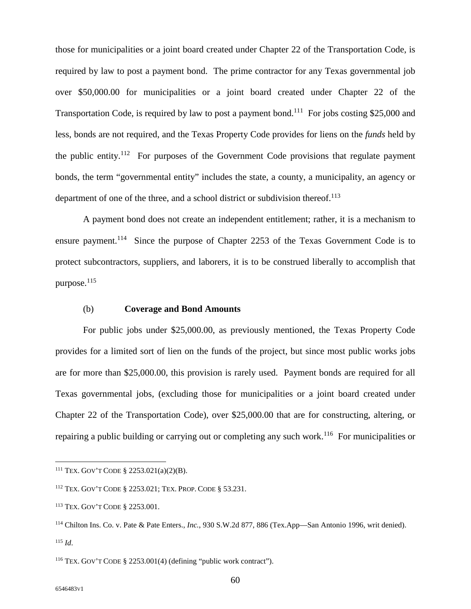those for municipalities or a joint board created under Chapter 22 of the Transportation Code, is required by law to post a payment bond. The prime contractor for any Texas governmental job over \$50,000.00 for municipalities or a joint board created under Chapter 22 of the Transportation Code, is required by law to post a payment bond.<sup>111</sup> For jobs costing \$25,000 and less, bonds are not required, and the Texas Property Code provides for liens on the *funds* held by the public entity.<sup>112</sup> For purposes of the Government Code provisions that regulate payment bonds, the term "governmental entity" includes the state, a county, a municipality, an agency or department of one of the three, and a school district or subdivision thereof.<sup>113</sup>

A payment bond does not create an independent entitlement; rather, it is a mechanism to ensure payment.<sup>114</sup> Since the purpose of Chapter 2253 of the Texas Government Code is to protect subcontractors, suppliers, and laborers, it is to be construed liberally to accomplish that purpose.<sup>115</sup>

#### (b) **Coverage and Bond Amounts**

For public jobs under \$25,000.00, as previously mentioned, the Texas Property Code provides for a limited sort of lien on the funds of the project, but since most public works jobs are for more than \$25,000.00, this provision is rarely used. Payment bonds are required for all Texas governmental jobs, (excluding those for municipalities or a joint board created under Chapter 22 of the Transportation Code), over \$25,000.00 that are for constructing, altering, or repairing a public building or carrying out or completing any such work.<sup>116</sup> For municipalities or

<sup>111</sup> TEX. GOV'T CODE § 2253.021(a)(2)(B).

<sup>112</sup> TEX. GOV'T CODE § 2253.021; TEX. PROP. CODE § 53.231.

<sup>113</sup> TEX. GOV'T CODE § 2253.001.

<sup>114</sup> Chilton Ins. Co. v. Pate & Pate Enters.*, Inc.*, 930 S.W.2d 877, 886 (Tex.App—San Antonio 1996, writ denied). <sup>115</sup> *Id*.

<sup>116</sup> TEX. GOV'T CODE § 2253.001(4) (defining "public work contract").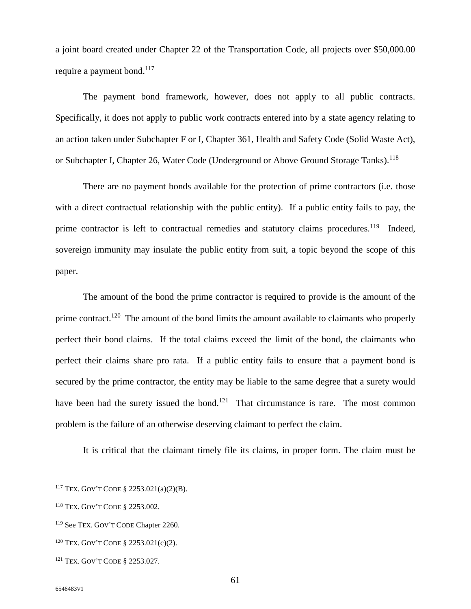a joint board created under Chapter 22 of the Transportation Code, all projects over \$50,000.00 require a payment bond. $117$ 

The payment bond framework, however, does not apply to all public contracts. Specifically, it does not apply to public work contracts entered into by a state agency relating to an action taken under Subchapter F or I, Chapter 361, Health and Safety Code (Solid Waste Act), or Subchapter I, Chapter 26, Water Code (Underground or Above Ground Storage Tanks).<sup>118</sup>

There are no payment bonds available for the protection of prime contractors (i.e. those with a direct contractual relationship with the public entity). If a public entity fails to pay, the prime contractor is left to contractual remedies and statutory claims procedures.<sup>119</sup> Indeed, sovereign immunity may insulate the public entity from suit, a topic beyond the scope of this paper.

The amount of the bond the prime contractor is required to provide is the amount of the prime contract.<sup>120</sup> The amount of the bond limits the amount available to claimants who properly perfect their bond claims. If the total claims exceed the limit of the bond, the claimants who perfect their claims share pro rata. If a public entity fails to ensure that a payment bond is secured by the prime contractor, the entity may be liable to the same degree that a surety would have been had the surety issued the bond.<sup>121</sup> That circumstance is rare. The most common problem is the failure of an otherwise deserving claimant to perfect the claim.

It is critical that the claimant timely file its claims, in proper form. The claim must be

<sup>117</sup> TEX. GOV'T CODE § 2253.021(a)(2)(B).

<sup>118</sup> TEX. GOV'T CODE § 2253.002.

<sup>119</sup> See TEX. GOV'T CODE Chapter 2260.

<sup>120</sup> TEX. GOV'T CODE § 2253.021(c)(2).

<sup>121</sup> TEX. GOV'T CODE § 2253.027.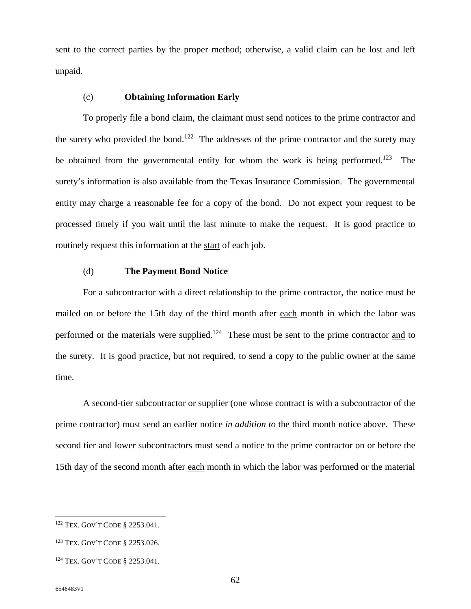sent to the correct parties by the proper method; otherwise, a valid claim can be lost and left unpaid.

#### (c) **Obtaining Information Early**

To properly file a bond claim, the claimant must send notices to the prime contractor and the surety who provided the bond.<sup>122</sup> The addresses of the prime contractor and the surety may be obtained from the governmental entity for whom the work is being performed.<sup>123</sup> The surety's information is also available from the Texas Insurance Commission. The governmental entity may charge a reasonable fee for a copy of the bond. Do not expect your request to be processed timely if you wait until the last minute to make the request. It is good practice to routinely request this information at the start of each job.

#### (d) **The Payment Bond Notice**

For a subcontractor with a direct relationship to the prime contractor, the notice must be mailed on or before the 15th day of the third month after each month in which the labor was performed or the materials were supplied.<sup>124</sup> These must be sent to the prime contractor and to the surety. It is good practice, but not required, to send a copy to the public owner at the same time.

A second-tier subcontractor or supplier (one whose contract is with a subcontractor of the prime contractor) must send an earlier notice *in addition to* the third month notice above. These second tier and lower subcontractors must send a notice to the prime contractor on or before the 15th day of the second month after each month in which the labor was performed or the material

<sup>122</sup> TEX. GOV'T CODE § 2253.041.

<sup>123</sup> TEX. GOV'T CODE § 2253.026.

<sup>124</sup> TEX. GOV'T CODE § 2253.041.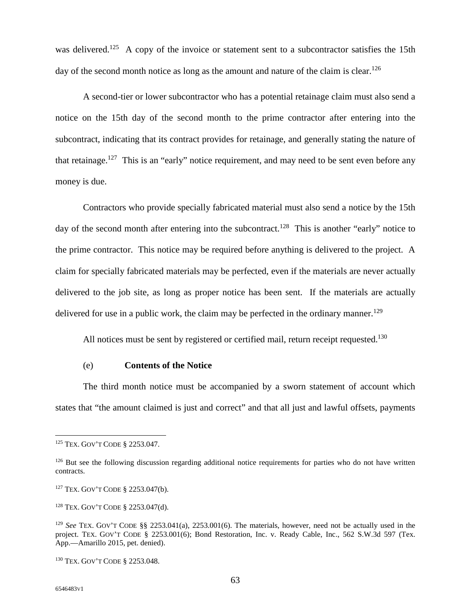was delivered.<sup>125</sup> A copy of the invoice or statement sent to a subcontractor satisfies the 15th day of the second month notice as long as the amount and nature of the claim is clear.<sup>126</sup>

A second-tier or lower subcontractor who has a potential retainage claim must also send a notice on the 15th day of the second month to the prime contractor after entering into the subcontract, indicating that its contract provides for retainage, and generally stating the nature of that retainage.<sup>127</sup> This is an "early" notice requirement, and may need to be sent even before any money is due.

Contractors who provide specially fabricated material must also send a notice by the 15th day of the second month after entering into the subcontract.<sup>128</sup> This is another "early" notice to the prime contractor. This notice may be required before anything is delivered to the project. A claim for specially fabricated materials may be perfected, even if the materials are never actually delivered to the job site, as long as proper notice has been sent. If the materials are actually delivered for use in a public work, the claim may be perfected in the ordinary manner.<sup>129</sup>

All notices must be sent by registered or certified mail, return receipt requested.<sup>130</sup>

#### (e) **Contents of the Notice**

The third month notice must be accompanied by a sworn statement of account which states that "the amount claimed is just and correct" and that all just and lawful offsets, payments

<sup>125</sup> TEX. GOV'T CODE § 2253.047.

 $126$  But see the following discussion regarding additional notice requirements for parties who do not have written contracts.

<sup>127</sup> TEX. GOV'T CODE § 2253.047(b).

<sup>128</sup> TEX. GOV'T CODE § 2253.047(d).

<sup>129</sup> *See* TEX. GOV'T CODE §§ 2253.041(a), 2253.001(6). The materials, however, need not be actually used in the project. TEX. GOV'T CODE § 2253.001(6); Bond Restoration, Inc. v. Ready Cable, Inc., 562 S.W.3d 597 (Tex. App.—Amarillo 2015, pet. denied).

<sup>130</sup> TEX. GOV'T CODE § 2253.048.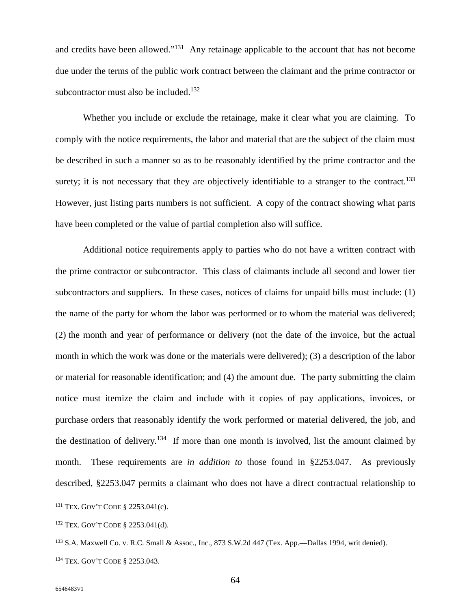and credits have been allowed."<sup>131</sup> Any retainage applicable to the account that has not become due under the terms of the public work contract between the claimant and the prime contractor or subcontractor must also be included. $132$ 

Whether you include or exclude the retainage, make it clear what you are claiming. To comply with the notice requirements, the labor and material that are the subject of the claim must be described in such a manner so as to be reasonably identified by the prime contractor and the surety; it is not necessary that they are objectively identifiable to a stranger to the contract.<sup>133</sup> However, just listing parts numbers is not sufficient. A copy of the contract showing what parts have been completed or the value of partial completion also will suffice.

Additional notice requirements apply to parties who do not have a written contract with the prime contractor or subcontractor. This class of claimants include all second and lower tier subcontractors and suppliers. In these cases, notices of claims for unpaid bills must include: (1) the name of the party for whom the labor was performed or to whom the material was delivered; (2) the month and year of performance or delivery (not the date of the invoice, but the actual month in which the work was done or the materials were delivered); (3) a description of the labor or material for reasonable identification; and (4) the amount due. The party submitting the claim notice must itemize the claim and include with it copies of pay applications, invoices, or purchase orders that reasonably identify the work performed or material delivered, the job, and the destination of delivery.<sup>134</sup> If more than one month is involved, list the amount claimed by month. These requirements are *in addition to* those found in §2253.047. As previously described, §2253.047 permits a claimant who does not have a direct contractual relationship to

<sup>131</sup> TEX. GOV'T CODE § 2253.041(c).

<sup>132</sup> TEX. GOV'T CODE § 2253.041(d).

<sup>133</sup> S.A. Maxwell Co. v. R.C. Small & Assoc., Inc., 873 S.W.2d 447 (Tex. App.—Dallas 1994, writ denied).

<sup>134</sup> TEX. GOV'T CODE § 2253.043.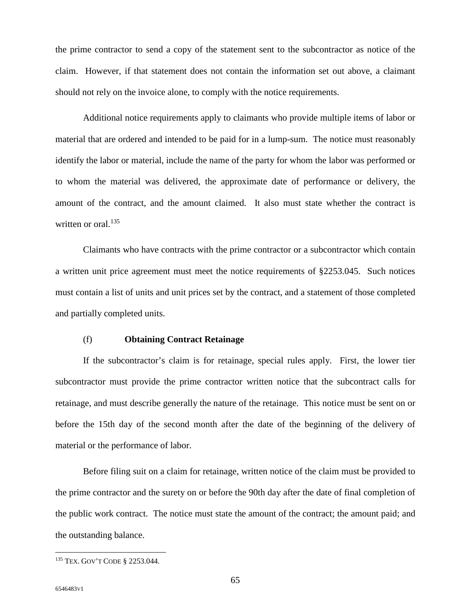the prime contractor to send a copy of the statement sent to the subcontractor as notice of the claim. However, if that statement does not contain the information set out above, a claimant should not rely on the invoice alone, to comply with the notice requirements.

Additional notice requirements apply to claimants who provide multiple items of labor or material that are ordered and intended to be paid for in a lump-sum. The notice must reasonably identify the labor or material, include the name of the party for whom the labor was performed or to whom the material was delivered, the approximate date of performance or delivery, the amount of the contract, and the amount claimed. It also must state whether the contract is written or oral.<sup>135</sup>

Claimants who have contracts with the prime contractor or a subcontractor which contain a written unit price agreement must meet the notice requirements of §2253.045. Such notices must contain a list of units and unit prices set by the contract, and a statement of those completed and partially completed units.

#### (f) **Obtaining Contract Retainage**

If the subcontractor's claim is for retainage, special rules apply. First, the lower tier subcontractor must provide the prime contractor written notice that the subcontract calls for retainage, and must describe generally the nature of the retainage. This notice must be sent on or before the 15th day of the second month after the date of the beginning of the delivery of material or the performance of labor.

Before filing suit on a claim for retainage, written notice of the claim must be provided to the prime contractor and the surety on or before the 90th day after the date of final completion of the public work contract. The notice must state the amount of the contract; the amount paid; and the outstanding balance.

<sup>135</sup> TEX. GOV'T CODE § 2253.044.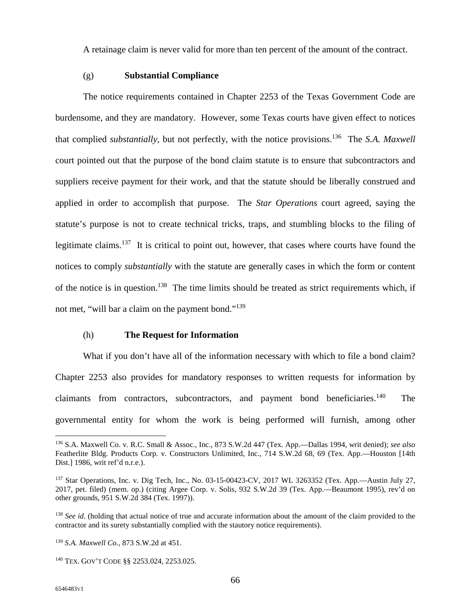A retainage claim is never valid for more than ten percent of the amount of the contract.

#### (g) **Substantial Compliance**

The notice requirements contained in Chapter 2253 of the Texas Government Code are burdensome, and they are mandatory. However, some Texas courts have given effect to notices that complied *substantially*, but not perfectly, with the notice provisions.<sup>136</sup> The *S.A. Maxwell*  court pointed out that the purpose of the bond claim statute is to ensure that subcontractors and suppliers receive payment for their work, and that the statute should be liberally construed and applied in order to accomplish that purpose. The *Star Operations* court agreed, saying the statute's purpose is not to create technical tricks, traps, and stumbling blocks to the filing of legitimate claims.<sup>137</sup> It is critical to point out, however, that cases where courts have found the notices to comply *substantially* with the statute are generally cases in which the form or content of the notice is in question.<sup>138</sup> The time limits should be treated as strict requirements which, if not met, "will bar a claim on the payment bond."<sup>139</sup>

#### (h) **The Request for Information**

What if you don't have all of the information necessary with which to file a bond claim? Chapter 2253 also provides for mandatory responses to written requests for information by claimants from contractors, subcontractors, and payment bond beneficiaries.<sup>140</sup> The governmental entity for whom the work is being performed will furnish, among other

<sup>136</sup> S.A. Maxwell Co. v. R.C. Small & Assoc., Inc., 873 S.W.2d 447 (Tex. App.—Dallas 1994, writ denied); *see also*  Featherlite Bldg. Products Corp. v. Constructors Unlimited, Inc., 714 S.W.2d 68, 69 (Tex. App.—Houston [14th Dist.] 1986, writ ref'd n.r.e.).

<sup>137</sup> Star Operations, Inc. v. Dig Tech, Inc., No. 03-15-00423-CV, 2017 WL 3263352 (Tex. App.—Austin July 27, 2017, pet. filed) (mem. op.) (citing Argee Corp. v. Solis, 932 S.W.2d 39 (Tex. App.—Beaumont 1995), rev'd on other grounds, 951 S.W.2d 384 (Tex. 1997)).

<sup>&</sup>lt;sup>138</sup> *See id.* (holding that actual notice of true and accurate information about the amount of the claim provided to the contractor and its surety substantially complied with the stautory notice requirements).

<sup>139</sup> *S.A. Maxwell Co.*, 873 S.W.2d at 451.

<sup>140</sup> TEX. GOV'T CODE §§ 2253.024, 2253.025.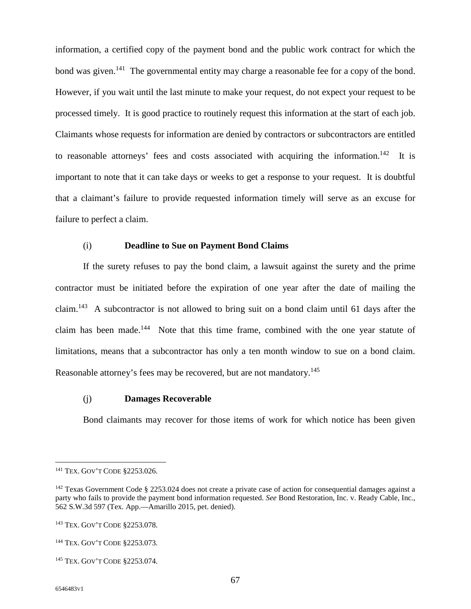information, a certified copy of the payment bond and the public work contract for which the bond was given.<sup>141</sup> The governmental entity may charge a reasonable fee for a copy of the bond. However, if you wait until the last minute to make your request, do not expect your request to be processed timely. It is good practice to routinely request this information at the start of each job. Claimants whose requests for information are denied by contractors or subcontractors are entitled to reasonable attorneys' fees and costs associated with acquiring the information.<sup>142</sup> It is important to note that it can take days or weeks to get a response to your request. It is doubtful that a claimant's failure to provide requested information timely will serve as an excuse for failure to perfect a claim.

#### (i) **Deadline to Sue on Payment Bond Claims**

If the surety refuses to pay the bond claim, a lawsuit against the surety and the prime contractor must be initiated before the expiration of one year after the date of mailing the claim.<sup>143</sup> A subcontractor is not allowed to bring suit on a bond claim until 61 days after the claim has been made.<sup>144</sup> Note that this time frame, combined with the one year statute of limitations, means that a subcontractor has only a ten month window to sue on a bond claim. Reasonable attorney's fees may be recovered, but are not mandatory.<sup>145</sup>

#### (j) **Damages Recoverable**

Bond claimants may recover for those items of work for which notice has been given

<sup>141</sup> TEX. GOV'T CODE §2253.026.

<sup>&</sup>lt;sup>142</sup> Texas Government Code § 2253.024 does not create a private case of action for consequential damages against a party who fails to provide the payment bond information requested. *See* Bond Restoration, Inc. v. Ready Cable, Inc., 562 S.W.3d 597 (Tex. App.—Amarillo 2015, pet. denied).

<sup>143</sup> TEX. GOV'T CODE §2253.078.

<sup>144</sup> TEX. GOV'T CODE §2253.073.

<sup>145</sup> TEX. GOV'T CODE §2253.074.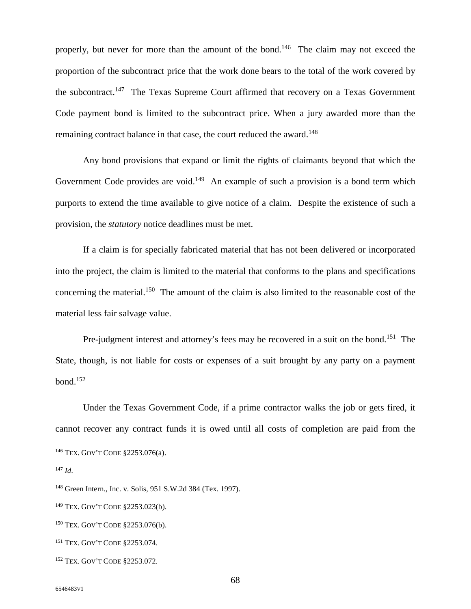properly, but never for more than the amount of the bond.<sup>146</sup> The claim may not exceed the proportion of the subcontract price that the work done bears to the total of the work covered by the subcontract.<sup>147</sup> The Texas Supreme Court affirmed that recovery on a Texas Government Code payment bond is limited to the subcontract price. When a jury awarded more than the remaining contract balance in that case, the court reduced the award.<sup>148</sup>

Any bond provisions that expand or limit the rights of claimants beyond that which the Government Code provides are void.<sup>149</sup> An example of such a provision is a bond term which purports to extend the time available to give notice of a claim. Despite the existence of such a provision, the *statutory* notice deadlines must be met.

If a claim is for specially fabricated material that has not been delivered or incorporated into the project, the claim is limited to the material that conforms to the plans and specifications concerning the material.<sup>150</sup> The amount of the claim is also limited to the reasonable cost of the material less fair salvage value.

Pre-judgment interest and attorney's fees may be recovered in a suit on the bond.<sup>151</sup> The State, though, is not liable for costs or expenses of a suit brought by any party on a payment  $bond.<sup>152</sup>$ 

Under the Texas Government Code, if a prime contractor walks the job or gets fired, it cannot recover any contract funds it is owed until all costs of completion are paid from the

<sup>146</sup> TEX. GOV'T CODE §2253.076(a).

<sup>147</sup> *Id*.

<sup>148</sup> Green Intern., Inc. v. Solis, 951 S.W.2d 384 (Tex. 1997).

<sup>149</sup> TEX. GOV'T CODE §2253.023(b).

<sup>150</sup> TEX. GOV'T CODE §2253.076(b).

<sup>151</sup> TEX. GOV'T CODE §2253.074.

<sup>152</sup> TEX. GOV'T CODE §2253.072.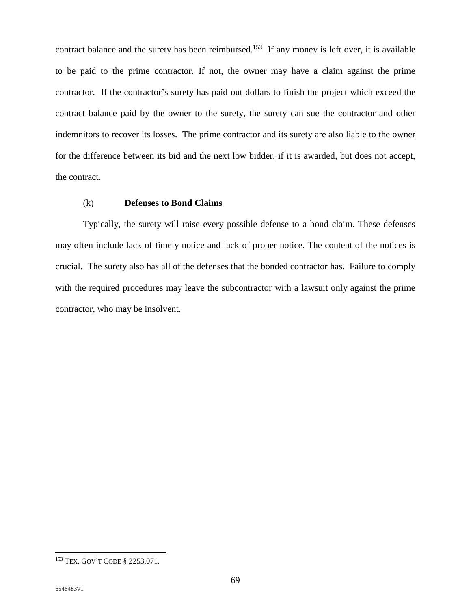contract balance and the surety has been reimbursed.<sup>153</sup> If any money is left over, it is available to be paid to the prime contractor. If not, the owner may have a claim against the prime contractor. If the contractor's surety has paid out dollars to finish the project which exceed the contract balance paid by the owner to the surety, the surety can sue the contractor and other indemnitors to recover its losses. The prime contractor and its surety are also liable to the owner for the difference between its bid and the next low bidder, if it is awarded, but does not accept, the contract.

#### (k) **Defenses to Bond Claims**

Typically, the surety will raise every possible defense to a bond claim. These defenses may often include lack of timely notice and lack of proper notice. The content of the notices is crucial. The surety also has all of the defenses that the bonded contractor has. Failure to comply with the required procedures may leave the subcontractor with a lawsuit only against the prime contractor, who may be insolvent.

<sup>153</sup> TEX. GOV'T CODE § 2253.071.